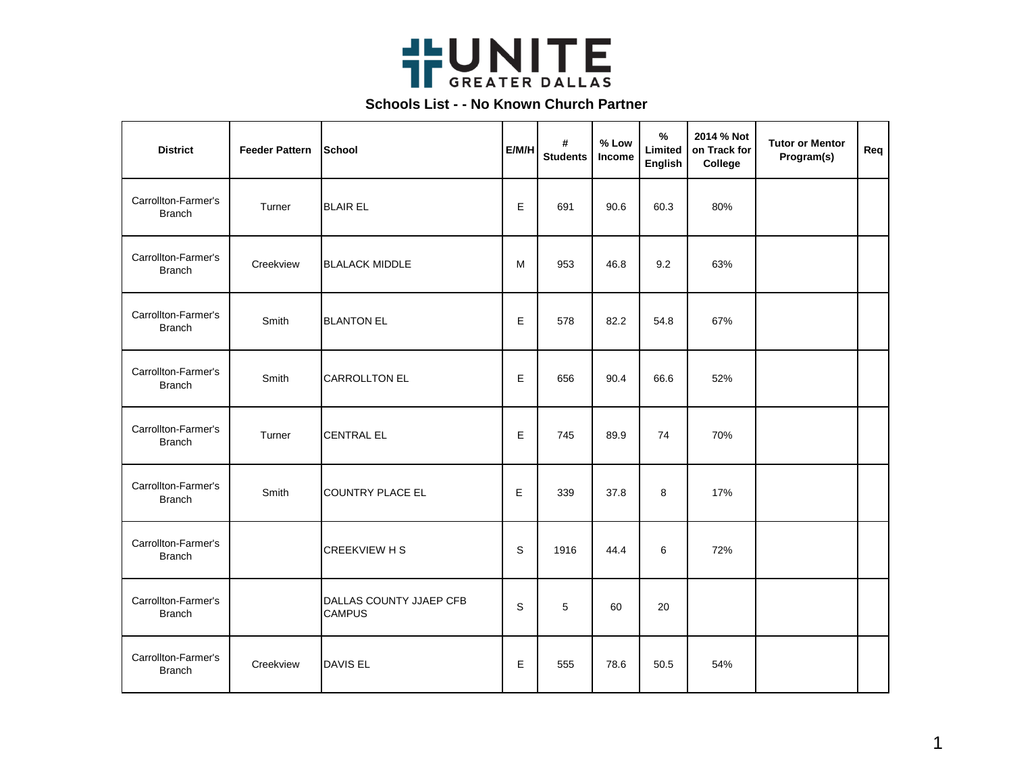

| <b>District</b>                      | <b>Feeder Pattern</b> | School                                   | E/M/H       | #<br><b>Students</b> | % Low<br>Income | $\frac{9}{6}$<br>Limited<br>English | 2014 % Not<br>on Track for<br>College | <b>Tutor or Mentor</b><br>Program(s) | Req |
|--------------------------------------|-----------------------|------------------------------------------|-------------|----------------------|-----------------|-------------------------------------|---------------------------------------|--------------------------------------|-----|
| Carrollton-Farmer's<br><b>Branch</b> | Turner                | <b>BLAIR EL</b>                          | E           | 691                  | 90.6            | 60.3                                | 80%                                   |                                      |     |
| Carrollton-Farmer's<br><b>Branch</b> | Creekview             | <b>BLALACK MIDDLE</b>                    | M           | 953                  | 46.8            | 9.2                                 | 63%                                   |                                      |     |
| Carrollton-Farmer's<br><b>Branch</b> | Smith                 | <b>BLANTON EL</b>                        | E           | 578                  | 82.2            | 54.8                                | 67%                                   |                                      |     |
| Carrollton-Farmer's<br><b>Branch</b> | Smith                 | <b>CARROLLTON EL</b>                     | E           | 656                  | 90.4            | 66.6                                | 52%                                   |                                      |     |
| Carrollton-Farmer's<br><b>Branch</b> | Turner                | <b>CENTRAL EL</b>                        | E           | 745                  | 89.9            | 74                                  | 70%                                   |                                      |     |
| Carrollton-Farmer's<br><b>Branch</b> | Smith                 | <b>COUNTRY PLACE EL</b>                  | Е           | 339                  | 37.8            | 8                                   | 17%                                   |                                      |     |
| Carrollton-Farmer's<br><b>Branch</b> |                       | <b>CREEKVIEW H S</b>                     | S           | 1916                 | 44.4            | 6                                   | 72%                                   |                                      |     |
| Carrollton-Farmer's<br><b>Branch</b> |                       | DALLAS COUNTY JJAEP CFB<br><b>CAMPUS</b> | $\mathsf S$ | 5                    | 60              | 20                                  |                                       |                                      |     |
| Carrollton-Farmer's<br><b>Branch</b> | Creekview             | DAVIS EL                                 | E           | 555                  | 78.6            | 50.5                                | 54%                                   |                                      |     |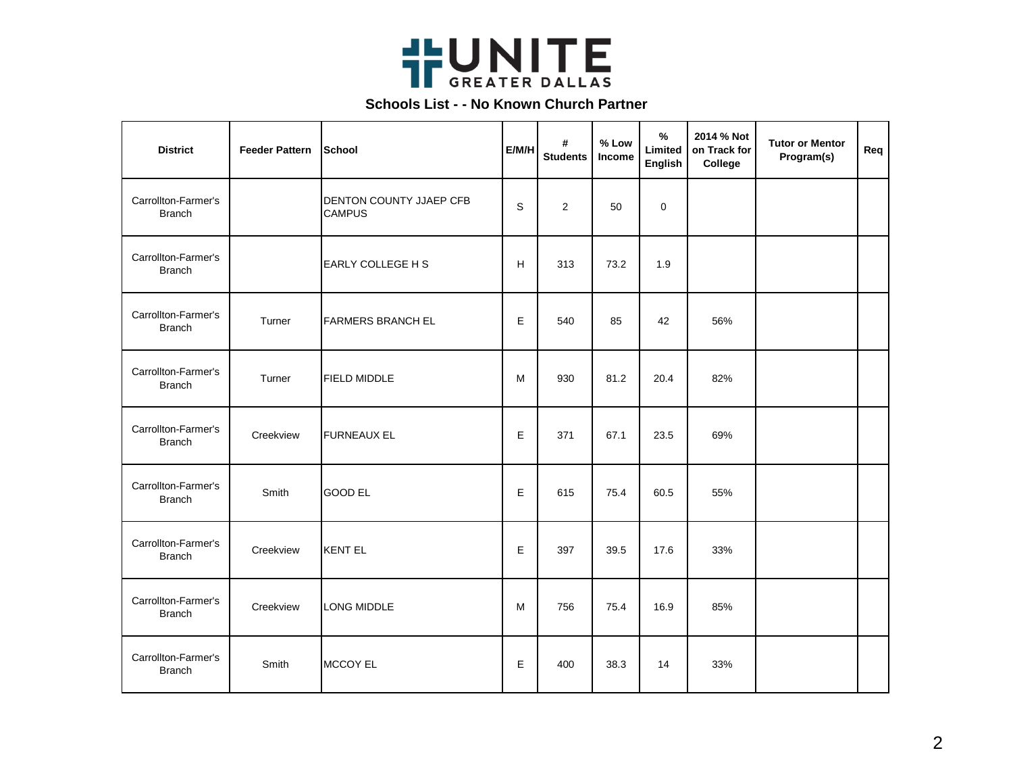

| <b>District</b>                      | <b>Feeder Pattern</b> | School                                          | E/M/H | #<br><b>Students</b> | % Low<br>Income | $\%$<br>Limited<br>English | 2014 % Not<br>on Track for<br>College | <b>Tutor or Mentor</b><br>Program(s) | Req |
|--------------------------------------|-----------------------|-------------------------------------------------|-------|----------------------|-----------------|----------------------------|---------------------------------------|--------------------------------------|-----|
| Carrollton-Farmer's<br><b>Branch</b> |                       | <b>DENTON COUNTY JJAEP CFB</b><br><b>CAMPUS</b> | S     | 2                    | 50              | $\mathbf 0$                |                                       |                                      |     |
| Carrollton-Farmer's<br><b>Branch</b> |                       | EARLY COLLEGE H S                               | H     | 313                  | 73.2            | 1.9                        |                                       |                                      |     |
| Carrollton-Farmer's<br><b>Branch</b> | Turner                | <b>FARMERS BRANCH EL</b>                        | E     | 540                  | 85              | 42                         | 56%                                   |                                      |     |
| Carrollton-Farmer's<br><b>Branch</b> | Turner                | <b>FIELD MIDDLE</b>                             | М     | 930                  | 81.2            | 20.4                       | 82%                                   |                                      |     |
| Carrollton-Farmer's<br><b>Branch</b> | Creekview             | <b>FURNEAUX EL</b>                              | Е     | 371                  | 67.1            | 23.5                       | 69%                                   |                                      |     |
| Carrollton-Farmer's<br><b>Branch</b> | Smith                 | <b>GOOD EL</b>                                  | E     | 615                  | 75.4            | 60.5                       | 55%                                   |                                      |     |
| Carrollton-Farmer's<br><b>Branch</b> | Creekview             | <b>KENT EL</b>                                  | E     | 397                  | 39.5            | 17.6                       | 33%                                   |                                      |     |
| Carrollton-Farmer's<br><b>Branch</b> | Creekview             | LONG MIDDLE                                     | м     | 756                  | 75.4            | 16.9                       | 85%                                   |                                      |     |
| Carrollton-Farmer's<br><b>Branch</b> | Smith                 | MCCOY EL                                        | E     | 400                  | 38.3            | 14                         | 33%                                   |                                      |     |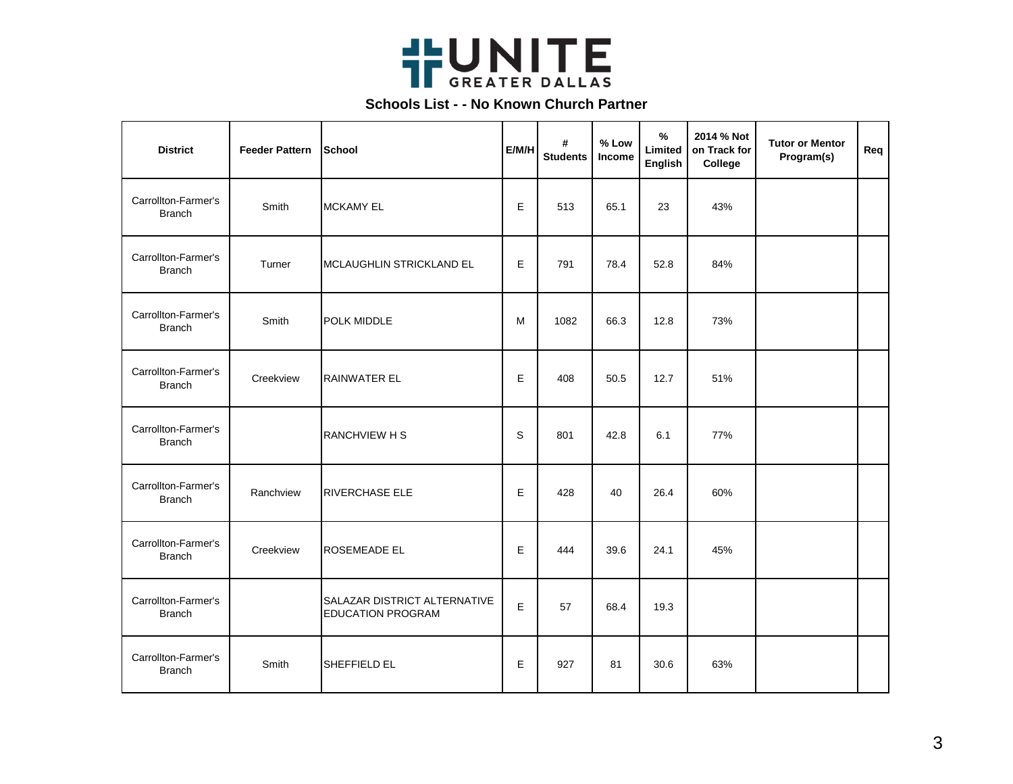

| <b>District</b>                      | <b>Feeder Pattern</b> | ISchool                                                  | E/M/H | #<br><b>Students</b> | % Low<br>Income | $\frac{9}{6}$<br>Limited<br>English | 2014 % Not<br>on Track for<br>College | <b>Tutor or Mentor</b><br>Program(s) | Req |
|--------------------------------------|-----------------------|----------------------------------------------------------|-------|----------------------|-----------------|-------------------------------------|---------------------------------------|--------------------------------------|-----|
| Carrollton-Farmer's<br><b>Branch</b> | Smith                 | <b>MCKAMY EL</b>                                         | E     | 513                  | 65.1            | 23                                  | 43%                                   |                                      |     |
| Carrollton-Farmer's<br><b>Branch</b> | Turner                | MCLAUGHLIN STRICKLAND EL                                 | Е     | 791                  | 78.4            | 52.8                                | 84%                                   |                                      |     |
| Carrollton-Farmer's<br><b>Branch</b> | Smith                 | POLK MIDDLE                                              | M     | 1082                 | 66.3            | 12.8                                | 73%                                   |                                      |     |
| Carrollton-Farmer's<br><b>Branch</b> | Creekview             | <b>RAINWATER EL</b>                                      | E     | 408                  | 50.5            | 12.7                                | 51%                                   |                                      |     |
| Carrollton-Farmer's<br><b>Branch</b> |                       | <b>RANCHVIEW H S</b>                                     | S     | 801                  | 42.8            | 6.1                                 | 77%                                   |                                      |     |
| Carrollton-Farmer's<br><b>Branch</b> | Ranchview             | <b>RIVERCHASE ELE</b>                                    | E     | 428                  | 40              | 26.4                                | 60%                                   |                                      |     |
| Carrollton-Farmer's<br><b>Branch</b> | Creekview             | <b>ROSEMEADE EL</b>                                      | E     | 444                  | 39.6            | 24.1                                | 45%                                   |                                      |     |
| Carrollton-Farmer's<br><b>Branch</b> |                       | SALAZAR DISTRICT ALTERNATIVE<br><b>EDUCATION PROGRAM</b> | E     | 57                   | 68.4            | 19.3                                |                                       |                                      |     |
| Carrollton-Farmer's<br><b>Branch</b> | Smith                 | SHEFFIELD EL                                             | E     | 927                  | 81              | 30.6                                | 63%                                   |                                      |     |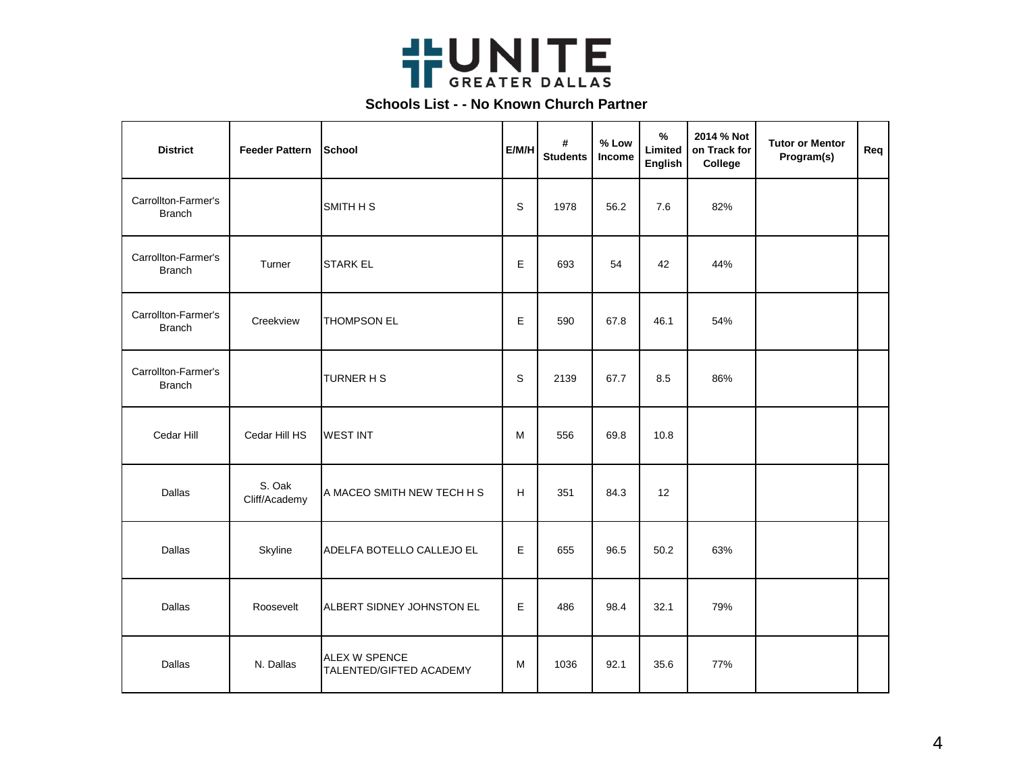

| <b>District</b>                      | <b>Feeder Pattern</b>   | School                                   | E/M/H       | #<br><b>Students</b> | % Low<br>Income | $\frac{9}{6}$<br>Limited<br>English | 2014 % Not<br>on Track for<br>College | <b>Tutor or Mentor</b><br>Program(s) | Req |
|--------------------------------------|-------------------------|------------------------------------------|-------------|----------------------|-----------------|-------------------------------------|---------------------------------------|--------------------------------------|-----|
| Carrollton-Farmer's<br><b>Branch</b> |                         | SMITH H S                                | $\mathsf S$ | 1978                 | 56.2            | 7.6                                 | 82%                                   |                                      |     |
| Carrollton-Farmer's<br><b>Branch</b> | Turner                  | <b>STARK EL</b>                          | E           | 693                  | 54              | 42                                  | 44%                                   |                                      |     |
| Carrollton-Farmer's<br><b>Branch</b> | Creekview               | <b>THOMPSON EL</b>                       | Е           | 590                  | 67.8            | 46.1                                | 54%                                   |                                      |     |
| Carrollton-Farmer's<br><b>Branch</b> |                         | TURNER H S                               | $\mathsf S$ | 2139                 | 67.7            | 8.5                                 | 86%                                   |                                      |     |
| Cedar Hill                           | Cedar Hill HS           | <b>WEST INT</b>                          | М           | 556                  | 69.8            | 10.8                                |                                       |                                      |     |
| <b>Dallas</b>                        | S. Oak<br>Cliff/Academy | A MACEO SMITH NEW TECH H S               | H           | 351                  | 84.3            | 12                                  |                                       |                                      |     |
| <b>Dallas</b>                        | Skyline                 | ADELFA BOTELLO CALLEJO EL                | E           | 655                  | 96.5            | 50.2                                | 63%                                   |                                      |     |
| Dallas                               | Roosevelt               | ALBERT SIDNEY JOHNSTON EL                | E           | 486                  | 98.4            | 32.1                                | 79%                                   |                                      |     |
| Dallas                               | N. Dallas               | ALEX W SPENCE<br>TALENTED/GIFTED ACADEMY | м           | 1036                 | 92.1            | 35.6                                | 77%                                   |                                      |     |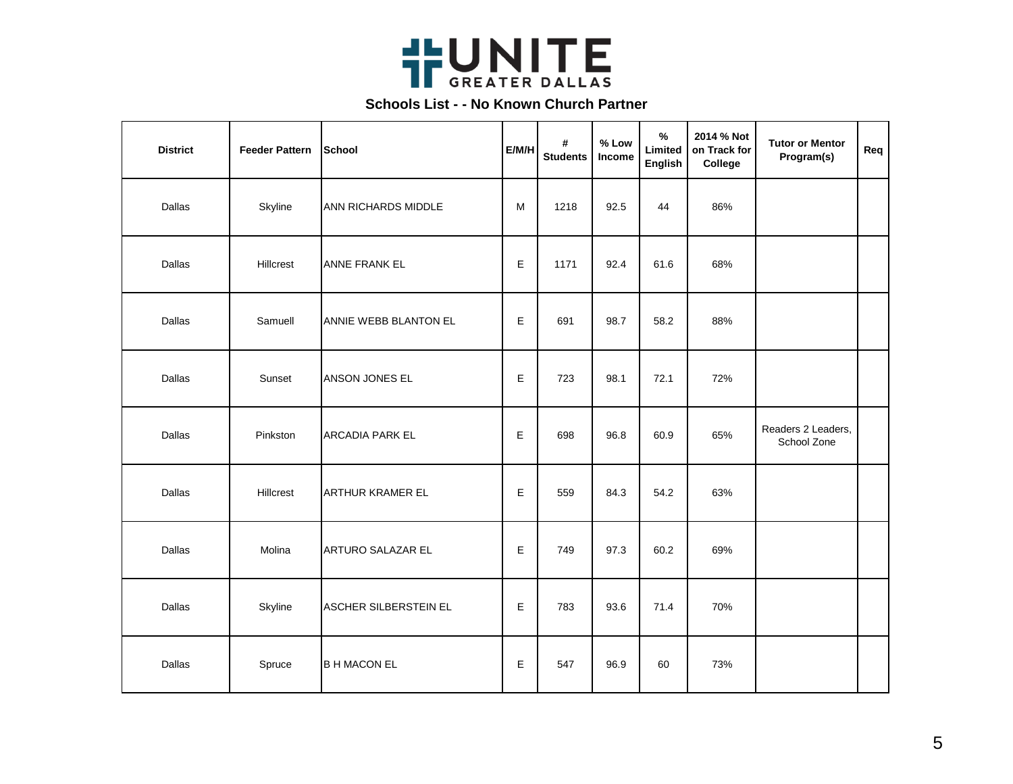

| <b>District</b> | <b>Feeder Pattern</b> | School                 | E/M/H | #<br><b>Students</b> | % Low<br>Income | $\%$<br>Limited<br>English | 2014 % Not<br>on Track for<br>College | <b>Tutor or Mentor</b><br>Program(s) | Req |
|-----------------|-----------------------|------------------------|-------|----------------------|-----------------|----------------------------|---------------------------------------|--------------------------------------|-----|
| Dallas          | Skyline               | ANN RICHARDS MIDDLE    | M     | 1218                 | 92.5            | 44                         | 86%                                   |                                      |     |
| Dallas          | <b>Hillcrest</b>      | <b>ANNE FRANK EL</b>   | E     | 1171                 | 92.4            | 61.6                       | 68%                                   |                                      |     |
| Dallas          | Samuell               | ANNIE WEBB BLANTON EL  | E     | 691                  | 98.7            | 58.2                       | 88%                                   |                                      |     |
| Dallas          | Sunset                | ANSON JONES EL         | Е     | 723                  | 98.1            | 72.1                       | 72%                                   |                                      |     |
| Dallas          | Pinkston              | <b>ARCADIA PARK EL</b> | E     | 698                  | 96.8            | 60.9                       | 65%                                   | Readers 2 Leaders,<br>School Zone    |     |
| Dallas          | Hillcrest             | ARTHUR KRAMER EL       | Е     | 559                  | 84.3            | 54.2                       | 63%                                   |                                      |     |
| Dallas          | Molina                | ARTURO SALAZAR EL      | Е     | 749                  | 97.3            | 60.2                       | 69%                                   |                                      |     |
| Dallas          | Skyline               | ASCHER SILBERSTEIN EL  | E     | 783                  | 93.6            | 71.4                       | 70%                                   |                                      |     |
| Dallas          | Spruce                | <b>B H MACON EL</b>    | Е     | 547                  | 96.9            | 60                         | 73%                                   |                                      |     |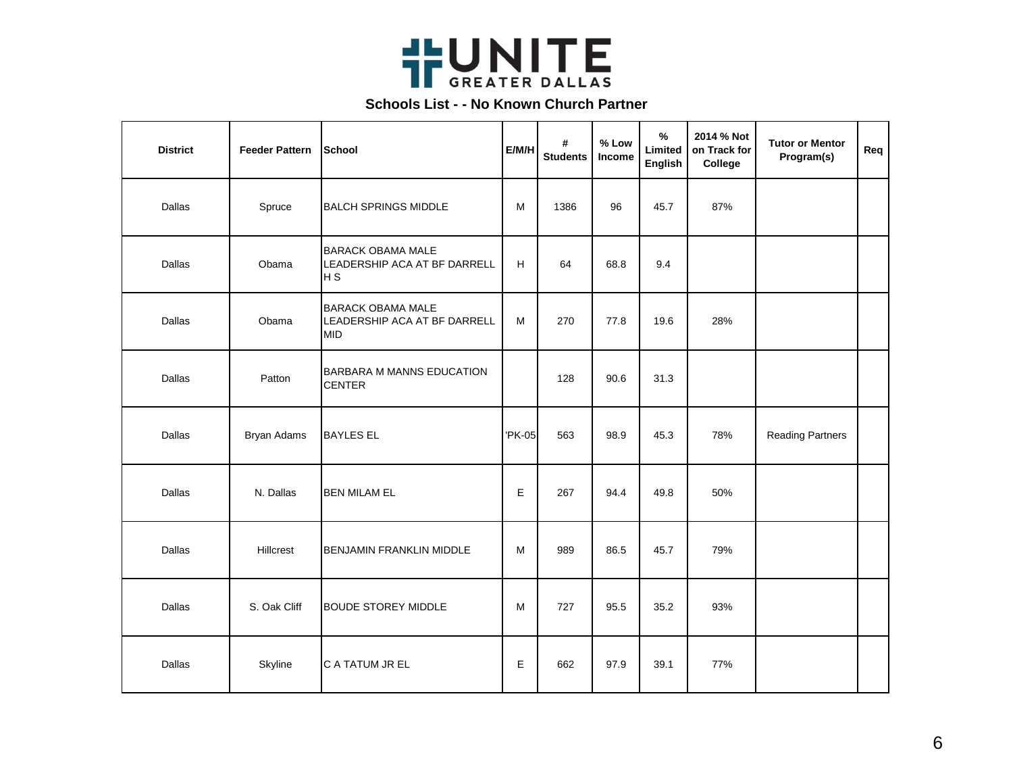

| <b>District</b> | <b>Feeder Pattern</b> | School                                                                     | E/M/H  | #<br><b>Students</b> | % Low<br>Income | %<br>Limited<br>English | 2014 % Not<br>on Track for<br>College | <b>Tutor or Mentor</b><br>Program(s) | Req |
|-----------------|-----------------------|----------------------------------------------------------------------------|--------|----------------------|-----------------|-------------------------|---------------------------------------|--------------------------------------|-----|
| Dallas          | Spruce                | <b>BALCH SPRINGS MIDDLE</b>                                                | M      | 1386                 | 96              | 45.7                    | 87%                                   |                                      |     |
| Dallas          | Obama                 | <b>BARACK OBAMA MALE</b><br>LEADERSHIP ACA AT BF DARRELL<br>H <sub>S</sub> | н      | 64                   | 68.8            | 9.4                     |                                       |                                      |     |
| Dallas          | Obama                 | <b>BARACK OBAMA MALE</b><br>LEADERSHIP ACA AT BF DARRELL<br><b>MID</b>     | M      | 270                  | 77.8            | 19.6                    | 28%                                   |                                      |     |
| Dallas          | Patton                | BARBARA M MANNS EDUCATION<br><b>CENTER</b>                                 |        | 128                  | 90.6            | 31.3                    |                                       |                                      |     |
| Dallas          | <b>Bryan Adams</b>    | <b>BAYLES EL</b>                                                           | 'PK-05 | 563                  | 98.9            | 45.3                    | 78%                                   | <b>Reading Partners</b>              |     |
| Dallas          | N. Dallas             | <b>BEN MILAM EL</b>                                                        | E      | 267                  | 94.4            | 49.8                    | 50%                                   |                                      |     |
| Dallas          | Hillcrest             | <b>BENJAMIN FRANKLIN MIDDLE</b>                                            | м      | 989                  | 86.5            | 45.7                    | 79%                                   |                                      |     |
| Dallas          | S. Oak Cliff          | <b>BOUDE STOREY MIDDLE</b>                                                 | М      | 727                  | 95.5            | 35.2                    | 93%                                   |                                      |     |
| Dallas          | Skyline               | C A TATUM JR EL                                                            | Е      | 662                  | 97.9            | 39.1                    | 77%                                   |                                      |     |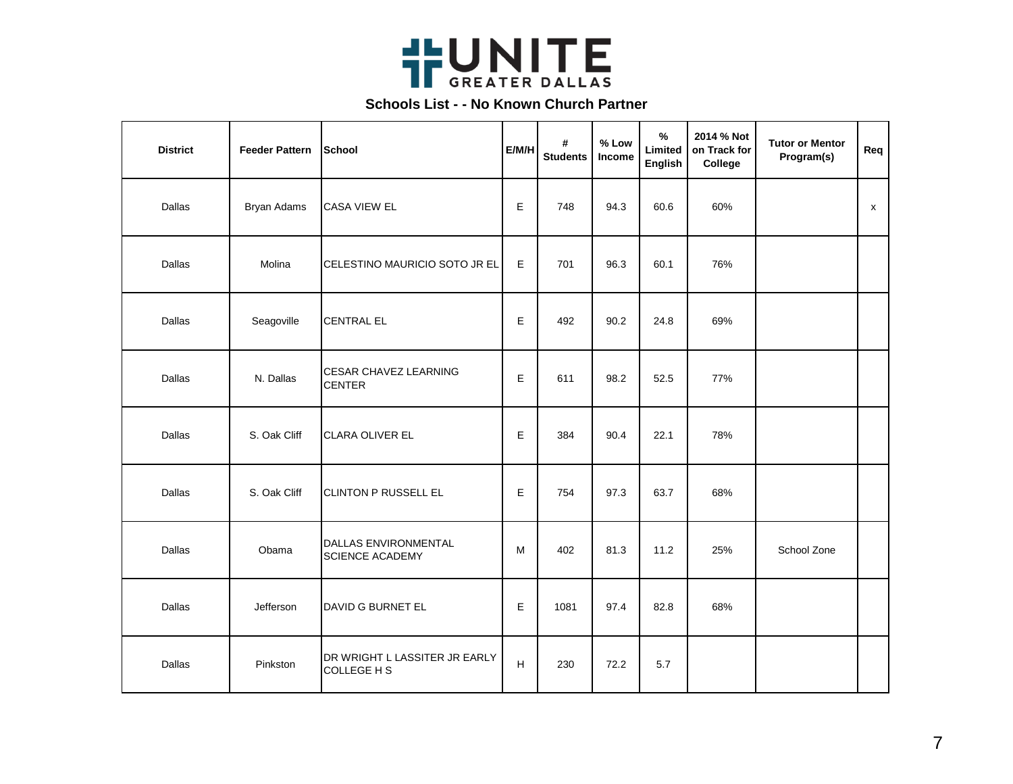

| <b>District</b> | <b>Feeder Pattern</b> | School                                         | E/M/H       | #<br><b>Students</b> | % Low<br>Income | $\%$<br>Limited<br>English | 2014 % Not<br>on Track for<br>College | <b>Tutor or Mentor</b><br>Program(s) | Req |
|-----------------|-----------------------|------------------------------------------------|-------------|----------------------|-----------------|----------------------------|---------------------------------------|--------------------------------------|-----|
| Dallas          | <b>Bryan Adams</b>    | <b>CASA VIEW EL</b>                            | E           | 748                  | 94.3            | 60.6                       | 60%                                   |                                      | X   |
| Dallas          | Molina                | CELESTINO MAURICIO SOTO JR EL                  | $\mathsf E$ | 701                  | 96.3            | 60.1                       | 76%                                   |                                      |     |
| Dallas          | Seagoville            | <b>CENTRAL EL</b>                              | E           | 492                  | 90.2            | 24.8                       | 69%                                   |                                      |     |
| Dallas          | N. Dallas             | <b>CESAR CHAVEZ LEARNING</b><br><b>CENTER</b>  | E           | 611                  | 98.2            | 52.5                       | 77%                                   |                                      |     |
| Dallas          | S. Oak Cliff          | CLARA OLIVER EL                                | Е           | 384                  | 90.4            | 22.1                       | 78%                                   |                                      |     |
| Dallas          | S. Oak Cliff          | <b>CLINTON P RUSSELL EL</b>                    | Е           | 754                  | 97.3            | 63.7                       | 68%                                   |                                      |     |
| Dallas          | Obama                 | DALLAS ENVIRONMENTAL<br><b>SCIENCE ACADEMY</b> | М           | 402                  | 81.3            | 11.2                       | 25%                                   | School Zone                          |     |
| Dallas          | Jefferson             | DAVID G BURNET EL                              | Е           | 1081                 | 97.4            | 82.8                       | 68%                                   |                                      |     |
| Dallas          | Pinkston              | DR WRIGHT L LASSITER JR EARLY<br>COLLEGE H S   | $\mathsf H$ | 230                  | 72.2            | 5.7                        |                                       |                                      |     |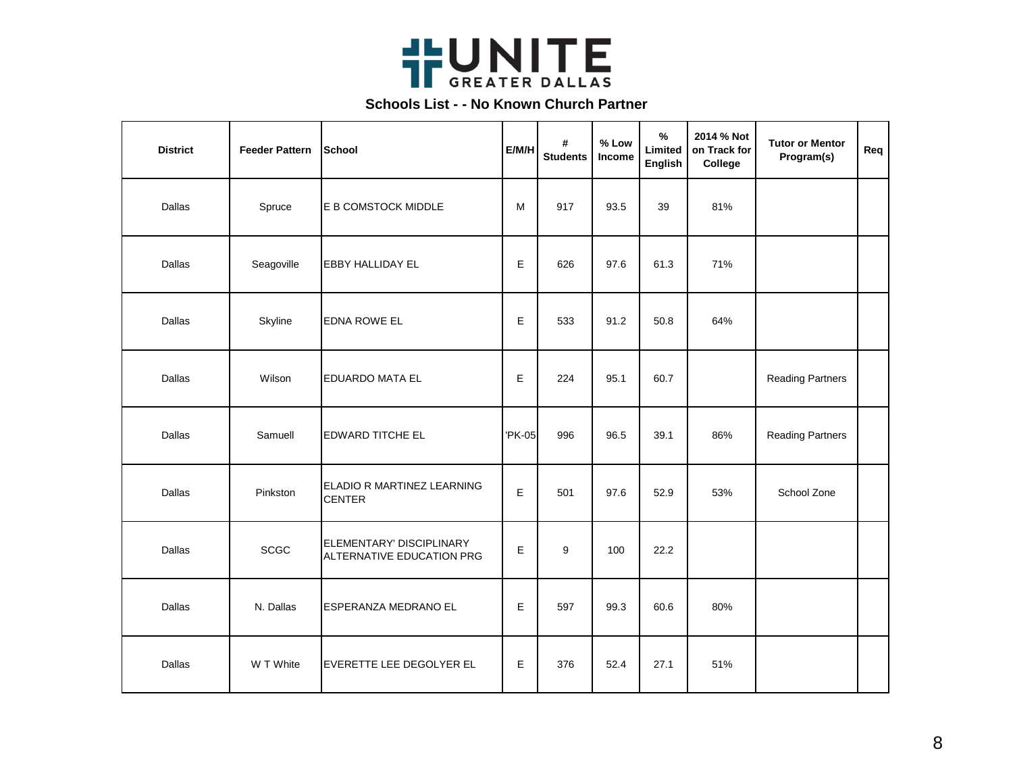

| <b>District</b> | <b>Feeder Pattern</b> | School                                                | E/M/H  | #<br><b>Students</b> | % Low<br>Income | $\%$<br>Limited<br>English | 2014 % Not<br>on Track for<br>College | <b>Tutor or Mentor</b><br>Program(s) | Req |
|-----------------|-----------------------|-------------------------------------------------------|--------|----------------------|-----------------|----------------------------|---------------------------------------|--------------------------------------|-----|
| Dallas          | Spruce                | E B COMSTOCK MIDDLE                                   | M      | 917                  | 93.5            | 39                         | 81%                                   |                                      |     |
| Dallas          | Seagoville            | <b>EBBY HALLIDAY EL</b>                               | Е      | 626                  | 97.6            | 61.3                       | 71%                                   |                                      |     |
| Dallas          | Skyline               | <b>EDNA ROWE EL</b>                                   | E      | 533                  | 91.2            | 50.8                       | 64%                                   |                                      |     |
| Dallas          | Wilson                | <b>EDUARDO MATA EL</b>                                | E      | 224                  | 95.1            | 60.7                       |                                       | <b>Reading Partners</b>              |     |
| Dallas          | Samuell               | <b>EDWARD TITCHE EL</b>                               | 'PK-05 | 996                  | 96.5            | 39.1                       | 86%                                   | <b>Reading Partners</b>              |     |
| Dallas          | Pinkston              | ELADIO R MARTINEZ LEARNING<br><b>CENTER</b>           | Е      | 501                  | 97.6            | 52.9                       | 53%                                   | School Zone                          |     |
| Dallas          | <b>SCGC</b>           | ELEMENTARY' DISCIPLINARY<br>ALTERNATIVE EDUCATION PRG | E      | 9                    | 100             | 22.2                       |                                       |                                      |     |
| Dallas          | N. Dallas             | ESPERANZA MEDRANO EL                                  | E      | 597                  | 99.3            | 60.6                       | 80%                                   |                                      |     |
| Dallas          | W T White             | EVERETTE LEE DEGOLYER EL                              | Е      | 376                  | 52.4            | 27.1                       | 51%                                   |                                      |     |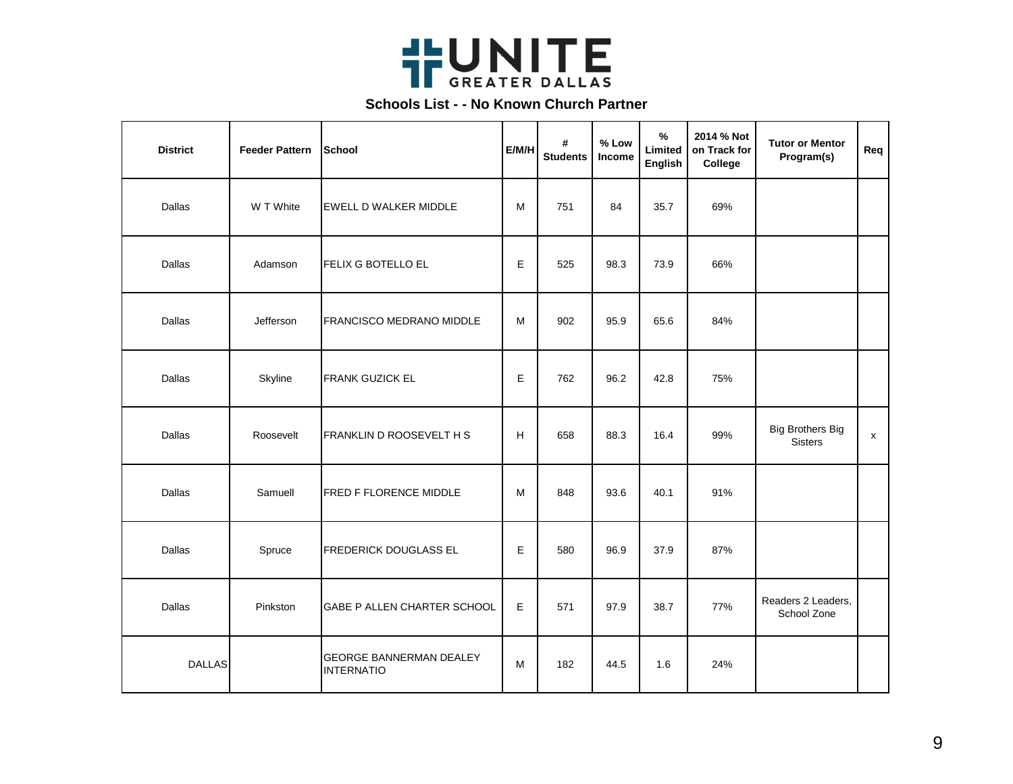

| <b>District</b> | <b>Feeder Pattern</b> | School                                              | E/M/H | #<br><b>Students</b> | % Low<br>Income | $\%$<br>Limited<br>English | 2014 % Not<br>on Track for<br>College | <b>Tutor or Mentor</b><br>Program(s)      | Req |
|-----------------|-----------------------|-----------------------------------------------------|-------|----------------------|-----------------|----------------------------|---------------------------------------|-------------------------------------------|-----|
| Dallas          | W T White             | <b>EWELL D WALKER MIDDLE</b>                        | м     | 751                  | 84              | 35.7                       | 69%                                   |                                           |     |
| Dallas          | Adamson               | <b>FELIX G BOTELLO EL</b>                           | Е     | 525                  | 98.3            | 73.9                       | 66%                                   |                                           |     |
| Dallas          | Jefferson             | <b>FRANCISCO MEDRANO MIDDLE</b>                     | М     | 902                  | 95.9            | 65.6                       | 84%                                   |                                           |     |
| Dallas          | Skyline               | <b>FRANK GUZICK EL</b>                              | E     | 762                  | 96.2            | 42.8                       | 75%                                   |                                           |     |
| Dallas          | Roosevelt             | FRANKLIN D ROOSEVELT H S                            | H     | 658                  | 88.3            | 16.4                       | 99%                                   | <b>Big Brothers Big</b><br><b>Sisters</b> | x   |
| Dallas          | Samuell               | FRED F FLORENCE MIDDLE                              | М     | 848                  | 93.6            | 40.1                       | 91%                                   |                                           |     |
| Dallas          | Spruce                | <b>FREDERICK DOUGLASS EL</b>                        | E     | 580                  | 96.9            | 37.9                       | 87%                                   |                                           |     |
| Dallas          | Pinkston              | GABE P ALLEN CHARTER SCHOOL                         | E     | 571                  | 97.9            | 38.7                       | 77%                                   | Readers 2 Leaders,<br>School Zone         |     |
| <b>DALLAS</b>   |                       | <b>GEORGE BANNERMAN DEALEY</b><br><b>INTERNATIO</b> | M     | 182                  | 44.5            | 1.6                        | 24%                                   |                                           |     |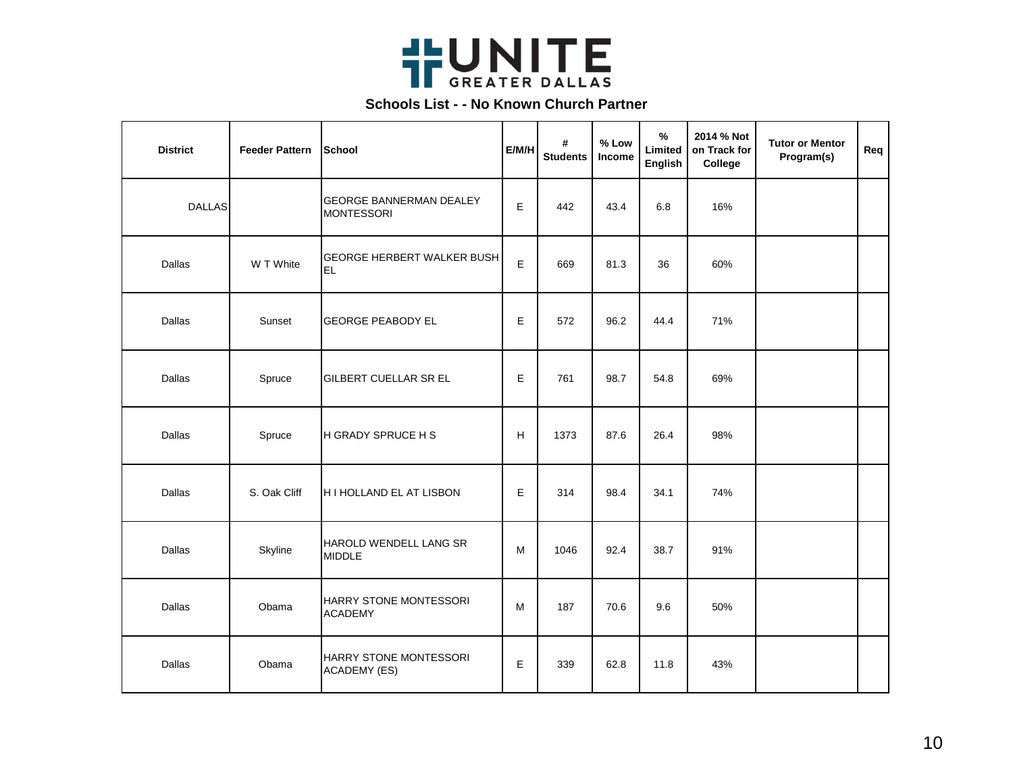

| <b>District</b> | <b>Feeder Pattern</b> | School                                              | E/M/H | #<br><b>Students</b> | % Low<br>Income | $\%$<br>Limited<br>English | 2014 % Not<br>on Track for<br>College | <b>Tutor or Mentor</b><br>Program(s) | Req |
|-----------------|-----------------------|-----------------------------------------------------|-------|----------------------|-----------------|----------------------------|---------------------------------------|--------------------------------------|-----|
| <b>DALLAS</b>   |                       | <b>GEORGE BANNERMAN DEALEY</b><br><b>MONTESSORI</b> | E     | 442                  | 43.4            | 6.8                        | 16%                                   |                                      |     |
| Dallas          | W T White             | <b>GEORGE HERBERT WALKER BUSH</b><br>lel            | E     | 669                  | 81.3            | 36                         | 60%                                   |                                      |     |
| Dallas          | Sunset                | <b>GEORGE PEABODY EL</b>                            | E     | 572                  | 96.2            | 44.4                       | 71%                                   |                                      |     |
| Dallas          | Spruce                | GILBERT CUELLAR SR EL                               | E     | 761                  | 98.7            | 54.8                       | 69%                                   |                                      |     |
| Dallas          | Spruce                | <b>H GRADY SPRUCE H S</b>                           | H     | 1373                 | 87.6            | 26.4                       | 98%                                   |                                      |     |
| Dallas          | S. Oak Cliff          | H I HOLLAND EL AT LISBON                            | E     | 314                  | 98.4            | 34.1                       | 74%                                   |                                      |     |
| Dallas          | Skyline               | HAROLD WENDELL LANG SR<br><b>MIDDLE</b>             | М     | 1046                 | 92.4            | 38.7                       | 91%                                   |                                      |     |
| Dallas          | Obama                 | HARRY STONE MONTESSORI<br><b>ACADEMY</b>            | M     | 187                  | 70.6            | 9.6                        | 50%                                   |                                      |     |
| Dallas          | Obama                 | HARRY STONE MONTESSORI<br><b>ACADEMY (ES)</b>       | E     | 339                  | 62.8            | 11.8                       | 43%                                   |                                      |     |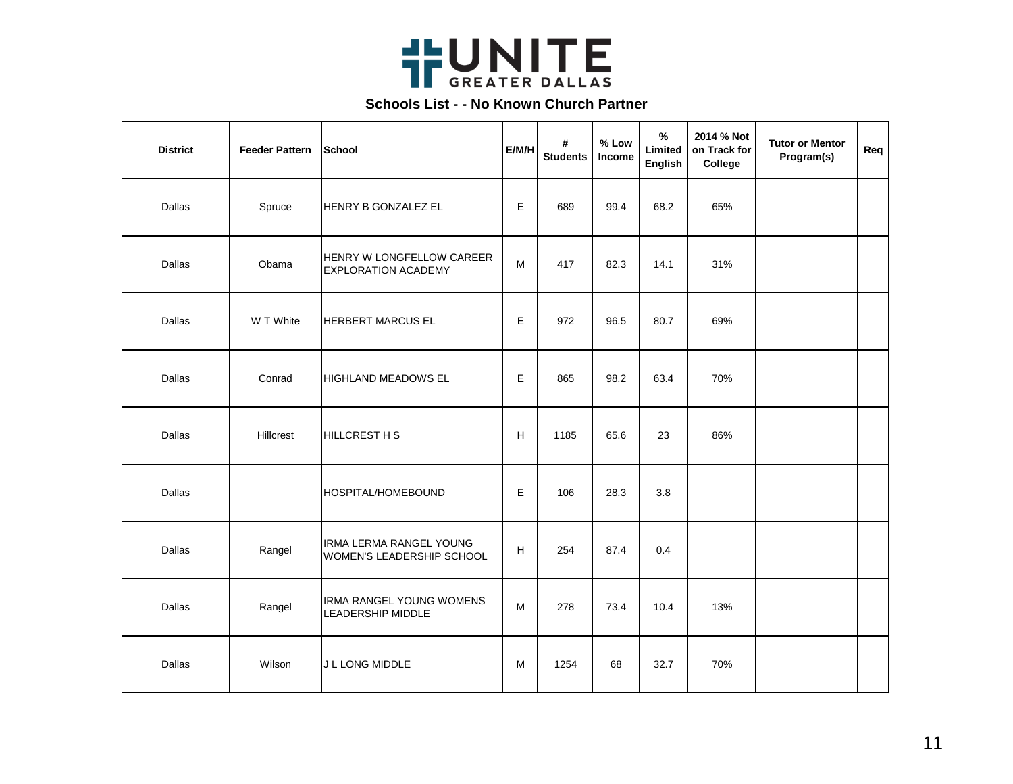

| <b>District</b> | <b>Feeder Pattern</b> | School                                                  | E/M/H | #<br><b>Students</b> | % Low<br>Income | $\%$<br>Limited<br>English | 2014 % Not<br>on Track for<br>College | <b>Tutor or Mentor</b><br>Program(s) | Req |
|-----------------|-----------------------|---------------------------------------------------------|-------|----------------------|-----------------|----------------------------|---------------------------------------|--------------------------------------|-----|
| Dallas          | Spruce                | HENRY B GONZALEZ EL                                     | E     | 689                  | 99.4            | 68.2                       | 65%                                   |                                      |     |
| Dallas          | Obama                 | HENRY W LONGFELLOW CAREER<br><b>EXPLORATION ACADEMY</b> | M     | 417                  | 82.3            | 14.1                       | 31%                                   |                                      |     |
| Dallas          | W T White             | <b>HERBERT MARCUS EL</b>                                | Е     | 972                  | 96.5            | 80.7                       | 69%                                   |                                      |     |
| Dallas          | Conrad                | <b>HIGHLAND MEADOWS EL</b>                              | E     | 865                  | 98.2            | 63.4                       | 70%                                   |                                      |     |
| Dallas          | Hillcrest             | <b>HILLCREST H S</b>                                    | H     | 1185                 | 65.6            | 23                         | 86%                                   |                                      |     |
| Dallas          |                       | HOSPITAL/HOMEBOUND                                      | E     | 106                  | 28.3            | 3.8                        |                                       |                                      |     |
| Dallas          | Rangel                | IRMA LERMA RANGEL YOUNG<br>WOMEN'S LEADERSHIP SCHOOL    | H     | 254                  | 87.4            | 0.4                        |                                       |                                      |     |
| Dallas          | Rangel                | IRMA RANGEL YOUNG WOMENS<br><b>LEADERSHIP MIDDLE</b>    | M     | 278                  | 73.4            | 10.4                       | 13%                                   |                                      |     |
| Dallas          | Wilson                | J L LONG MIDDLE                                         | M     | 1254                 | 68              | 32.7                       | 70%                                   |                                      |     |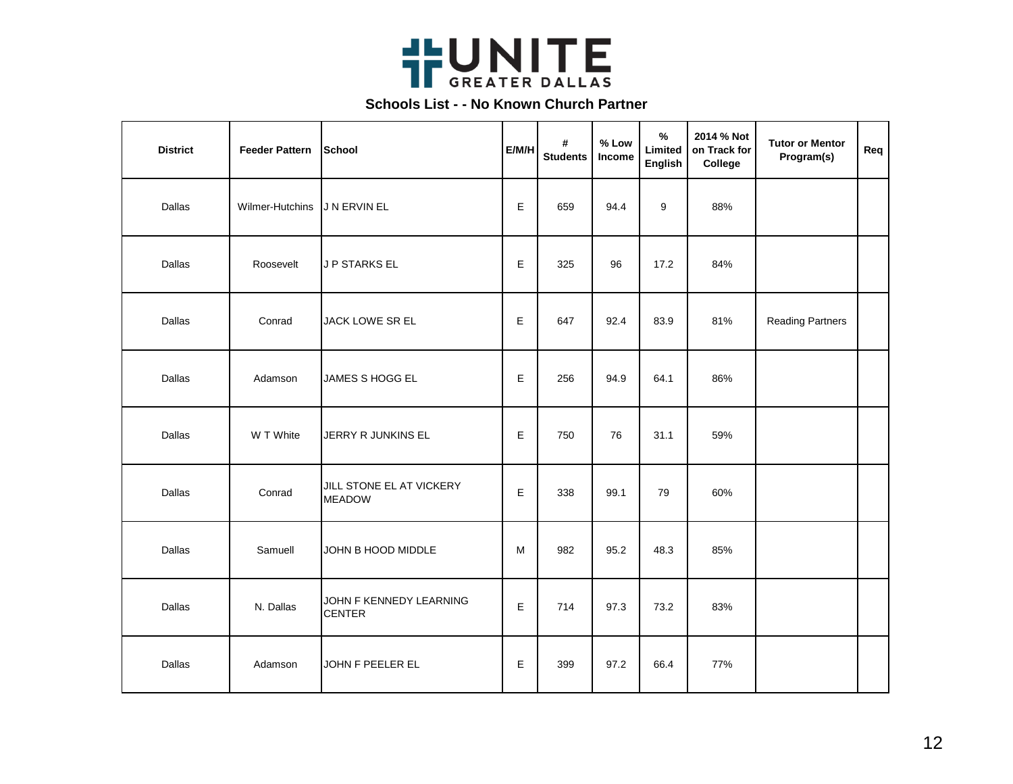

| <b>District</b> | <b>Feeder Pattern</b> | School                                    | E/M/H       | #<br><b>Students</b> | % Low<br>Income | $\%$<br>Limited<br>English | 2014 % Not<br>on Track for<br>College | <b>Tutor or Mentor</b><br>Program(s) | Req |
|-----------------|-----------------------|-------------------------------------------|-------------|----------------------|-----------------|----------------------------|---------------------------------------|--------------------------------------|-----|
| Dallas          | Wilmer-Hutchins       | J N ERVIN EL                              | E           | 659                  | 94.4            | 9                          | 88%                                   |                                      |     |
| Dallas          | Roosevelt             | J P STARKS EL                             | Е           | 325                  | 96              | 17.2                       | 84%                                   |                                      |     |
| Dallas          | Conrad                | JACK LOWE SR EL                           | E           | 647                  | 92.4            | 83.9                       | 81%                                   | <b>Reading Partners</b>              |     |
| Dallas          | Adamson               | JAMES S HOGG EL                           | $\mathsf E$ | 256                  | 94.9            | 64.1                       | 86%                                   |                                      |     |
| Dallas          | W T White             | JERRY R JUNKINS EL                        | E           | 750                  | 76              | 31.1                       | 59%                                   |                                      |     |
| Dallas          | Conrad                | JILL STONE EL AT VICKERY<br><b>MEADOW</b> | E           | 338                  | 99.1            | 79                         | 60%                                   |                                      |     |
| Dallas          | Samuell               | JOHN B HOOD MIDDLE                        | M           | 982                  | 95.2            | 48.3                       | 85%                                   |                                      |     |
| Dallas          | N. Dallas             | JOHN F KENNEDY LEARNING<br><b>CENTER</b>  | Е           | 714                  | 97.3            | 73.2                       | 83%                                   |                                      |     |
| Dallas          | Adamson               | JOHN F PEELER EL                          | Е           | 399                  | 97.2            | 66.4                       | 77%                                   |                                      |     |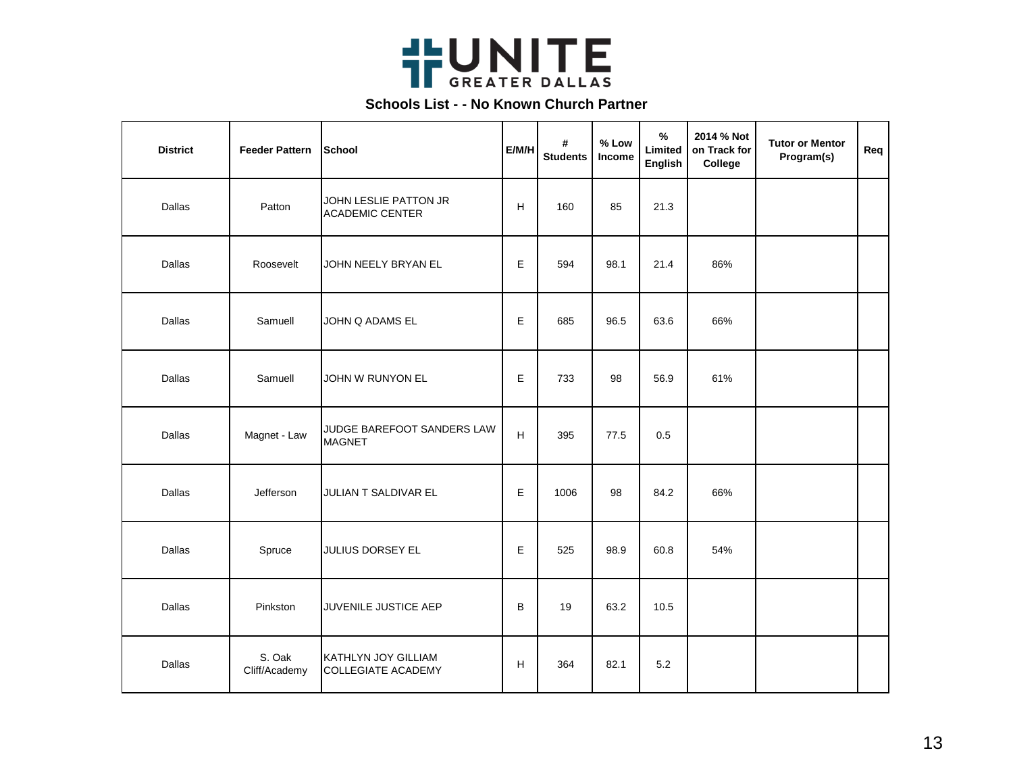

| <b>District</b> | <b>Feeder Pattern</b>   | School                                           | E/M/H | #<br><b>Students</b> | % Low<br>Income | $\%$<br>Limited<br>English | 2014 % Not<br>on Track for<br>College | <b>Tutor or Mentor</b><br>Program(s) | Req |
|-----------------|-------------------------|--------------------------------------------------|-------|----------------------|-----------------|----------------------------|---------------------------------------|--------------------------------------|-----|
| Dallas          | Patton                  | JOHN LESLIE PATTON JR<br><b>ACADEMIC CENTER</b>  | н     | 160                  | 85              | 21.3                       |                                       |                                      |     |
| Dallas          | Roosevelt               | JOHN NEELY BRYAN EL                              | E     | 594                  | 98.1            | 21.4                       | 86%                                   |                                      |     |
| Dallas          | Samuell                 | JOHN Q ADAMS EL                                  | Е     | 685                  | 96.5            | 63.6                       | 66%                                   |                                      |     |
| Dallas          | Samuell                 | JOHN W RUNYON EL                                 | E     | 733                  | 98              | 56.9                       | 61%                                   |                                      |     |
| Dallas          | Magnet - Law            | JUDGE BAREFOOT SANDERS LAW<br><b>MAGNET</b>      | н     | 395                  | 77.5            | 0.5                        |                                       |                                      |     |
| Dallas          | Jefferson               | JULIAN T SALDIVAR EL                             | E     | 1006                 | 98              | 84.2                       | 66%                                   |                                      |     |
| Dallas          | Spruce                  | JULIUS DORSEY EL                                 | E     | 525                  | 98.9            | 60.8                       | 54%                                   |                                      |     |
| Dallas          | Pinkston                | JUVENILE JUSTICE AEP                             | B     | 19                   | 63.2            | 10.5                       |                                       |                                      |     |
| Dallas          | S. Oak<br>Cliff/Academy | KATHLYN JOY GILLIAM<br><b>COLLEGIATE ACADEMY</b> | H     | 364                  | 82.1            | 5.2                        |                                       |                                      |     |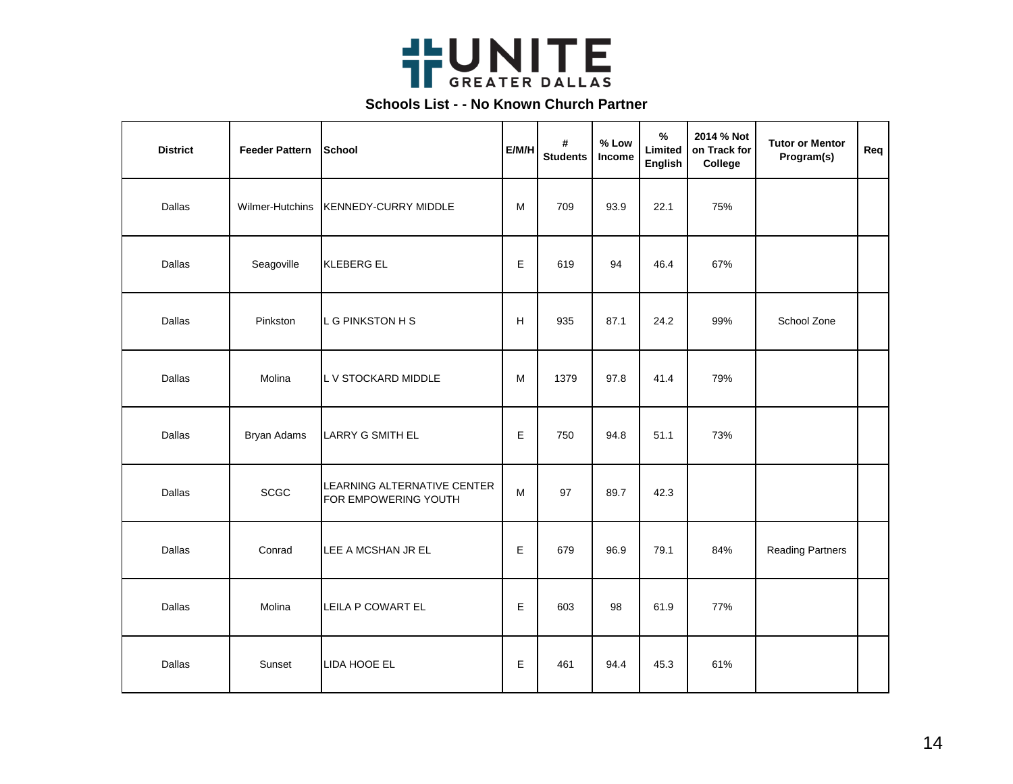

| <b>District</b> | <b>Feeder Pattern</b> | School                                              | E/M/H | #<br><b>Students</b> | % Low<br>Income | $\frac{9}{6}$<br>Limited<br>English | 2014 % Not<br>on Track for<br>College | <b>Tutor or Mentor</b><br>Program(s) | Req |
|-----------------|-----------------------|-----------------------------------------------------|-------|----------------------|-----------------|-------------------------------------|---------------------------------------|--------------------------------------|-----|
| Dallas          | Wilmer-Hutchins       | KENNEDY-CURRY MIDDLE                                | M     | 709                  | 93.9            | 22.1                                | 75%                                   |                                      |     |
| Dallas          | Seagoville            | KLEBERG EL                                          | Е     | 619                  | 94              | 46.4                                | 67%                                   |                                      |     |
| Dallas          | Pinkston              | L G PINKSTON H S                                    | H     | 935                  | 87.1            | 24.2                                | 99%                                   | School Zone                          |     |
| Dallas          | Molina                | L V STOCKARD MIDDLE                                 | M     | 1379                 | 97.8            | 41.4                                | 79%                                   |                                      |     |
| Dallas          | Bryan Adams           | <b>LARRY G SMITH EL</b>                             | Е     | 750                  | 94.8            | 51.1                                | 73%                                   |                                      |     |
| Dallas          | <b>SCGC</b>           | LEARNING ALTERNATIVE CENTER<br>FOR EMPOWERING YOUTH | М     | 97                   | 89.7            | 42.3                                |                                       |                                      |     |
| Dallas          | Conrad                | LEE A MCSHAN JR EL                                  | E     | 679                  | 96.9            | 79.1                                | 84%                                   | <b>Reading Partners</b>              |     |
| Dallas          | Molina                | LEILA P COWART EL                                   | Е     | 603                  | 98              | 61.9                                | 77%                                   |                                      |     |
| Dallas          | Sunset                | LIDA HOOE EL                                        | Е     | 461                  | 94.4            | 45.3                                | 61%                                   |                                      |     |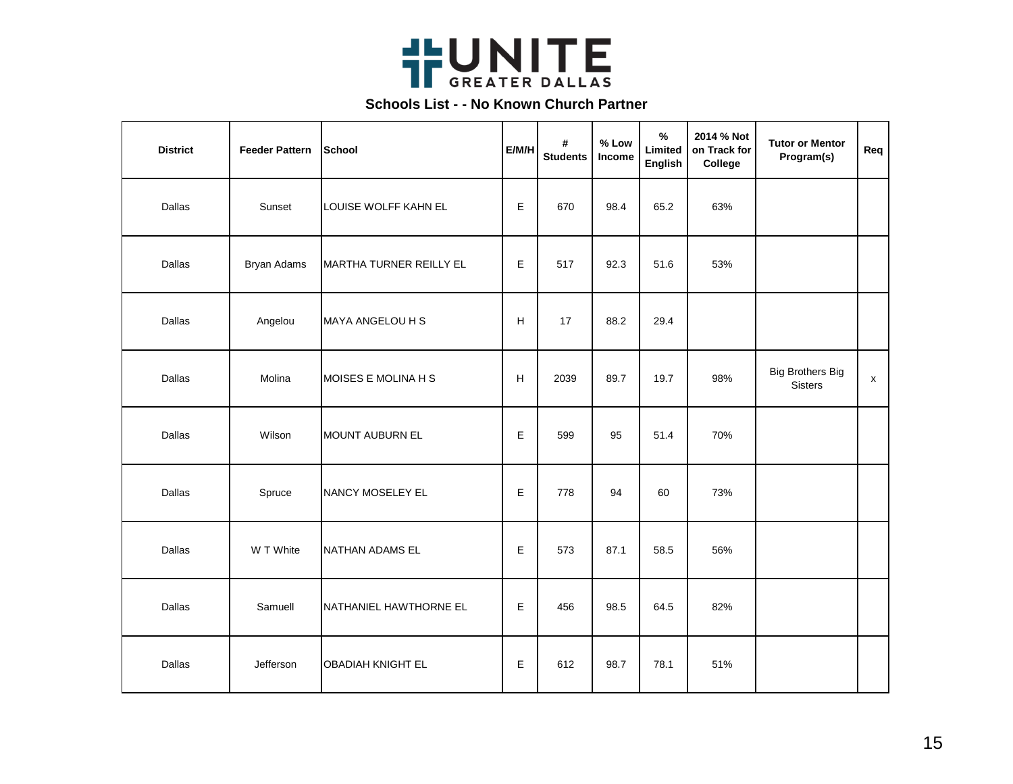

| <b>District</b> | <b>Feeder Pattern</b> | School                         | E/M/H | #<br><b>Students</b> | $%$ Low<br>Income | $\%$<br>Limited<br>English | 2014 % Not<br>on Track for<br>College | <b>Tutor or Mentor</b><br>Program(s)      | Req                |
|-----------------|-----------------------|--------------------------------|-------|----------------------|-------------------|----------------------------|---------------------------------------|-------------------------------------------|--------------------|
| Dallas          | Sunset                | LOUISE WOLFF KAHN EL           | Е     | 670                  | 98.4              | 65.2                       | 63%                                   |                                           |                    |
| Dallas          | Bryan Adams           | <b>MARTHA TURNER REILLY EL</b> | E     | 517                  | 92.3              | 51.6                       | 53%                                   |                                           |                    |
| Dallas          | Angelou               | MAYA ANGELOU H S               | н     | 17                   | 88.2              | 29.4                       |                                       |                                           |                    |
| Dallas          | Molina                | MOISES E MOLINA H S            | H     | 2039                 | 89.7              | 19.7                       | 98%                                   | <b>Big Brothers Big</b><br><b>Sisters</b> | $\pmb{\mathsf{x}}$ |
| Dallas          | Wilson                | <b>MOUNT AUBURN EL</b>         | Е     | 599                  | 95                | 51.4                       | 70%                                   |                                           |                    |
| Dallas          | Spruce                | NANCY MOSELEY EL               | E     | 778                  | 94                | 60                         | 73%                                   |                                           |                    |
| Dallas          | W T White             | NATHAN ADAMS EL                | Е     | 573                  | 87.1              | 58.5                       | 56%                                   |                                           |                    |
| Dallas          | Samuell               | NATHANIEL HAWTHORNE EL         | Е     | 456                  | 98.5              | 64.5                       | 82%                                   |                                           |                    |
| Dallas          | Jefferson             | <b>OBADIAH KNIGHT EL</b>       | Е     | 612                  | 98.7              | 78.1                       | 51%                                   |                                           |                    |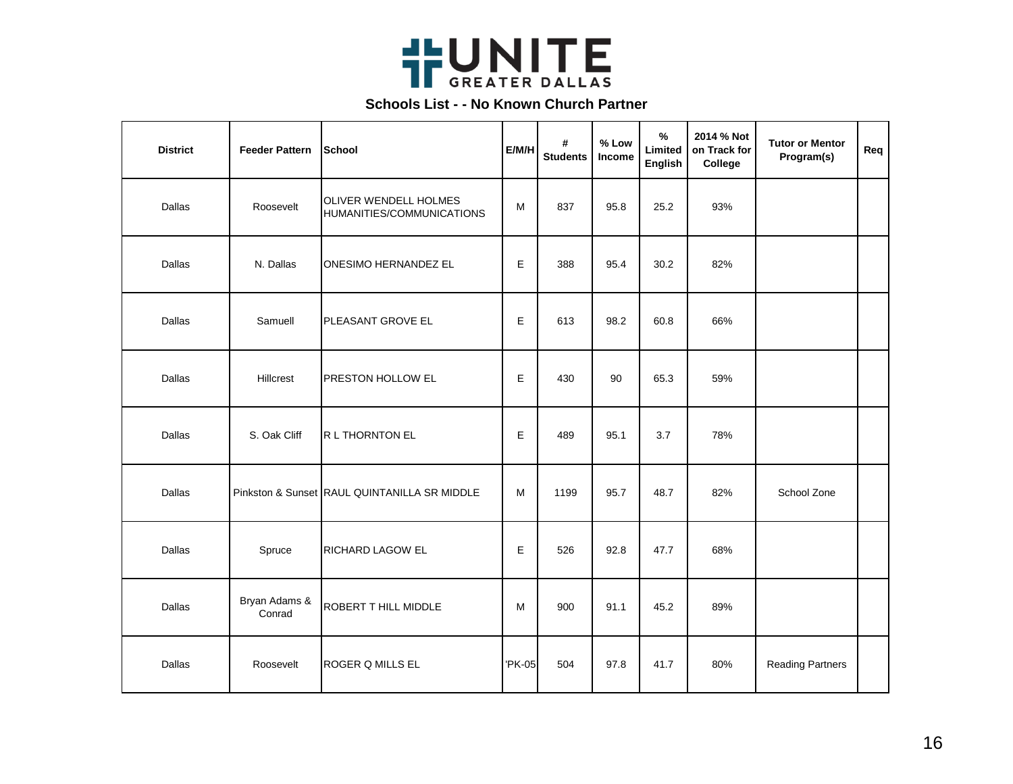

| <b>District</b> | <b>Feeder Pattern</b>   | <b>School</b>                                             | E/M/H  | #<br><b>Students</b> | % Low<br>Income | %<br>Limited<br>English | 2014 % Not<br>on Track for<br>College | <b>Tutor or Mentor</b><br>Program(s) | Req |
|-----------------|-------------------------|-----------------------------------------------------------|--------|----------------------|-----------------|-------------------------|---------------------------------------|--------------------------------------|-----|
| Dallas          | Roosevelt               | <b>OLIVER WENDELL HOLMES</b><br>HUMANITIES/COMMUNICATIONS | М      | 837                  | 95.8            | 25.2                    | 93%                                   |                                      |     |
| Dallas          | N. Dallas               | <b>ONESIMO HERNANDEZ EL</b>                               | E      | 388                  | 95.4            | 30.2                    | 82%                                   |                                      |     |
| Dallas          | Samuell                 | PLEASANT GROVE EL                                         | E      | 613                  | 98.2            | 60.8                    | 66%                                   |                                      |     |
| Dallas          | Hillcrest               | PRESTON HOLLOW EL                                         | Е      | 430                  | 90              | 65.3                    | 59%                                   |                                      |     |
| Dallas          | S. Oak Cliff            | R L THORNTON EL                                           | E      | 489                  | 95.1            | 3.7                     | 78%                                   |                                      |     |
| Dallas          |                         | Pinkston & Sunset RAUL QUINTANILLA SR MIDDLE              | M      | 1199                 | 95.7            | 48.7                    | 82%                                   | School Zone                          |     |
| Dallas          | Spruce                  | RICHARD LAGOW EL                                          | E      | 526                  | 92.8            | 47.7                    | 68%                                   |                                      |     |
| Dallas          | Bryan Adams &<br>Conrad | ROBERT T HILL MIDDLE                                      | M      | 900                  | 91.1            | 45.2                    | 89%                                   |                                      |     |
| Dallas          | Roosevelt               | ROGER Q MILLS EL                                          | 'PK-05 | 504                  | 97.8            | 41.7                    | 80%                                   | <b>Reading Partners</b>              |     |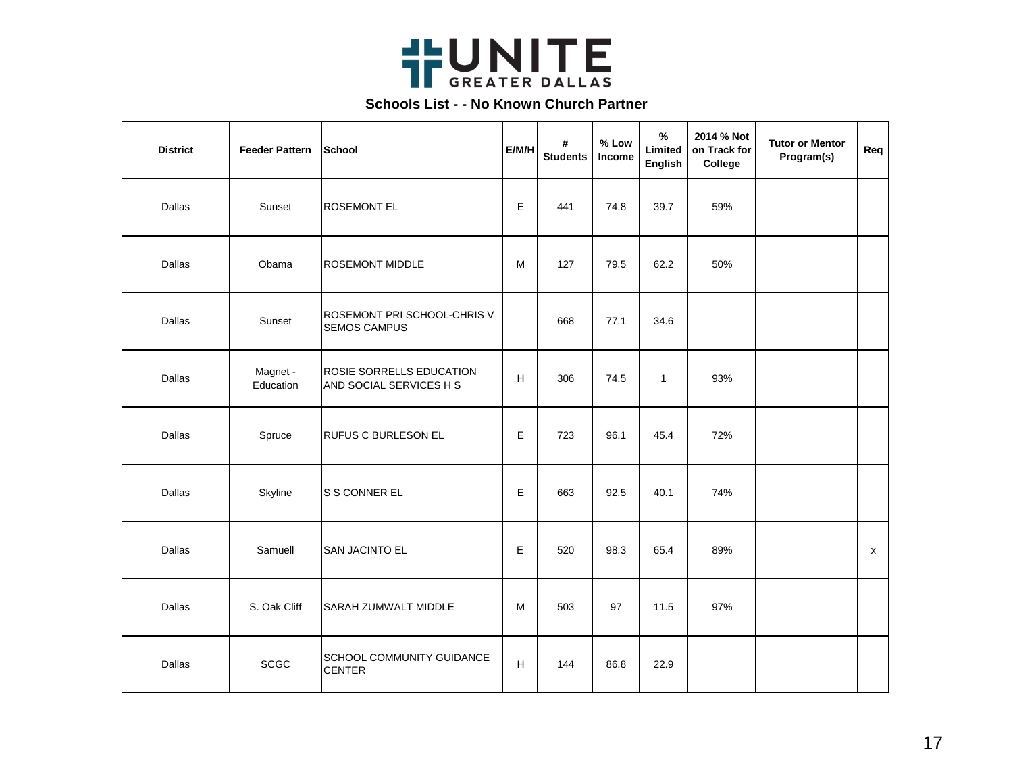

| <b>District</b> | <b>Feeder Pattern</b> | School                                              | E/M/H | #<br><b>Students</b> | % Low<br>Income | $\%$<br>Limited<br>English | 2014 % Not<br>on Track for<br>College | <b>Tutor or Mentor</b><br>Program(s) | Req |
|-----------------|-----------------------|-----------------------------------------------------|-------|----------------------|-----------------|----------------------------|---------------------------------------|--------------------------------------|-----|
| Dallas          | Sunset                | <b>ROSEMONT EL</b>                                  | Е     | 441                  | 74.8            | 39.7                       | 59%                                   |                                      |     |
| Dallas          | Obama                 | <b>ROSEMONT MIDDLE</b>                              | M     | 127                  | 79.5            | 62.2                       | 50%                                   |                                      |     |
| Dallas          | Sunset                | ROSEMONT PRI SCHOOL-CHRIS V<br><b>SEMOS CAMPUS</b>  |       | 668                  | 77.1            | 34.6                       |                                       |                                      |     |
| Dallas          | Magnet -<br>Education | ROSIE SORRELLS EDUCATION<br>AND SOCIAL SERVICES H S | H     | 306                  | 74.5            | $\mathbf{1}$               | 93%                                   |                                      |     |
| Dallas          | Spruce                | <b>RUFUS C BURLESON EL</b>                          | E     | 723                  | 96.1            | 45.4                       | 72%                                   |                                      |     |
| Dallas          | Skyline               | S S CONNER EL                                       | E     | 663                  | 92.5            | 40.1                       | 74%                                   |                                      |     |
| Dallas          | Samuell               | <b>SAN JACINTO EL</b>                               | E     | 520                  | 98.3            | 65.4                       | 89%                                   |                                      | x   |
| Dallas          | S. Oak Cliff          | <b>SARAH ZUMWALT MIDDLE</b>                         | M     | 503                  | 97              | 11.5                       | 97%                                   |                                      |     |
| Dallas          | <b>SCGC</b>           | SCHOOL COMMUNITY GUIDANCE<br><b>CENTER</b>          | H     | 144                  | 86.8            | 22.9                       |                                       |                                      |     |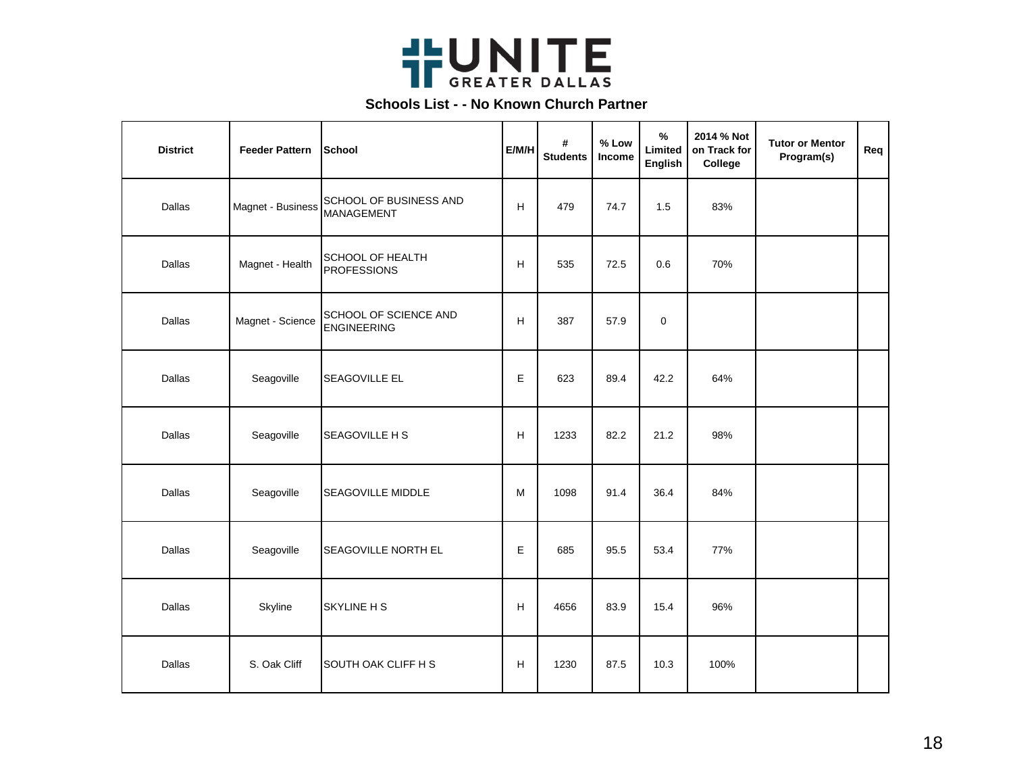

| <b>District</b> | <b>Feeder Pattern</b> | School                                      | E/M/H | #<br><b>Students</b> | % Low<br>Income | $\%$<br>Limited<br>English | 2014 % Not<br>on Track for<br>College | <b>Tutor or Mentor</b><br>Program(s) | Req |
|-----------------|-----------------------|---------------------------------------------|-------|----------------------|-----------------|----------------------------|---------------------------------------|--------------------------------------|-----|
| Dallas          | Magnet - Business     | SCHOOL OF BUSINESS AND<br><b>MANAGEMENT</b> | н     | 479                  | 74.7            | 1.5                        | 83%                                   |                                      |     |
| Dallas          | Magnet - Health       | SCHOOL OF HEALTH<br><b>PROFESSIONS</b>      | н     | 535                  | 72.5            | 0.6                        | 70%                                   |                                      |     |
| Dallas          | Magnet - Science      | SCHOOL OF SCIENCE AND<br><b>ENGINEERING</b> | н     | 387                  | 57.9            | $\mathbf 0$                |                                       |                                      |     |
| Dallas          | Seagoville            | SEAGOVILLE EL                               | Е     | 623                  | 89.4            | 42.2                       | 64%                                   |                                      |     |
| Dallas          | Seagoville            | SEAGOVILLE H S                              | н     | 1233                 | 82.2            | 21.2                       | 98%                                   |                                      |     |
| Dallas          | Seagoville            | SEAGOVILLE MIDDLE                           | M     | 1098                 | 91.4            | 36.4                       | 84%                                   |                                      |     |
| Dallas          | Seagoville            | SEAGOVILLE NORTH EL                         | Е     | 685                  | 95.5            | 53.4                       | 77%                                   |                                      |     |
| Dallas          | Skyline               | <b>SKYLINE H S</b>                          | н     | 4656                 | 83.9            | 15.4                       | 96%                                   |                                      |     |
| Dallas          | S. Oak Cliff          | SOUTH OAK CLIFF H S                         | н     | 1230                 | 87.5            | 10.3                       | 100%                                  |                                      |     |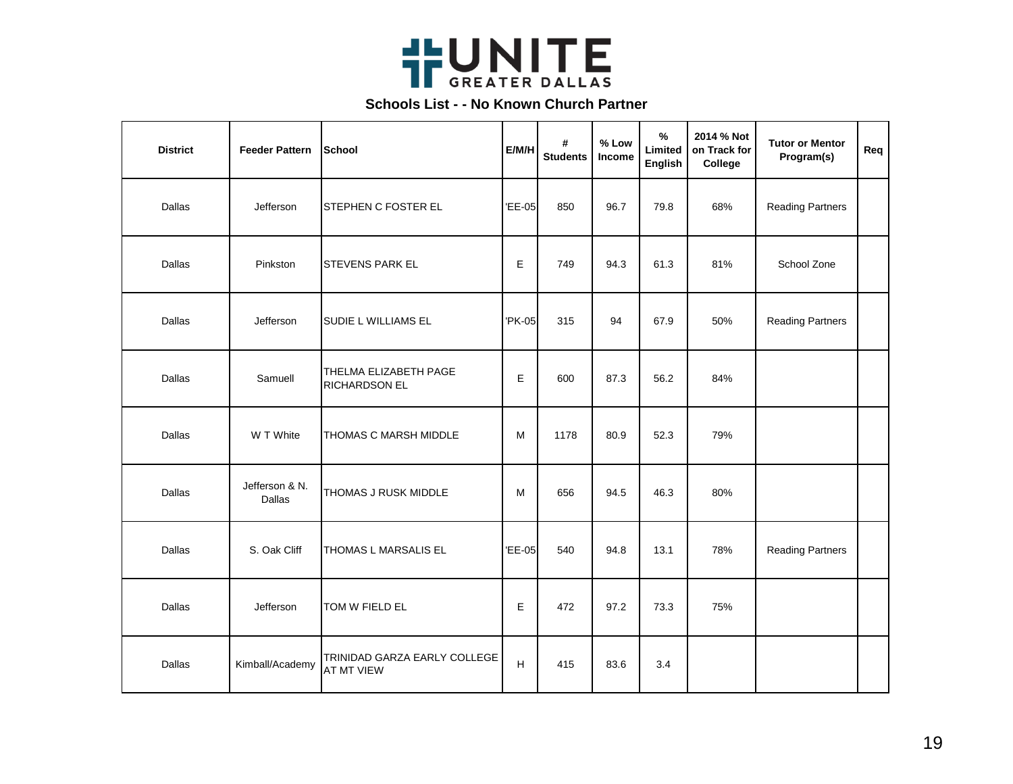

| <b>District</b> | <b>Feeder Pattern</b>           | School                                     | E/M/H       | #<br><b>Students</b> | % Low<br>Income | $\frac{9}{6}$<br>Limited<br>English | 2014 % Not<br>on Track for<br>College | <b>Tutor or Mentor</b><br>Program(s) | Req |
|-----------------|---------------------------------|--------------------------------------------|-------------|----------------------|-----------------|-------------------------------------|---------------------------------------|--------------------------------------|-----|
| Dallas          | Jefferson                       | STEPHEN C FOSTER EL                        | 'EE-05      | 850                  | 96.7            | 79.8                                | 68%                                   | <b>Reading Partners</b>              |     |
| Dallas          | Pinkston                        | <b>STEVENS PARK EL</b>                     | E           | 749                  | 94.3            | 61.3                                | 81%                                   | School Zone                          |     |
| Dallas          | Jefferson                       | SUDIE L WILLIAMS EL                        | 'PK-05      | 315                  | 94              | 67.9                                | 50%                                   | <b>Reading Partners</b>              |     |
| Dallas          | Samuell                         | THELMA ELIZABETH PAGE<br>RICHARDSON EL     | E           | 600                  | 87.3            | 56.2                                | 84%                                   |                                      |     |
| Dallas          | W T White                       | THOMAS C MARSH MIDDLE                      | M           | 1178                 | 80.9            | 52.3                                | 79%                                   |                                      |     |
| Dallas          | Jefferson & N.<br><b>Dallas</b> | THOMAS J RUSK MIDDLE                       | М           | 656                  | 94.5            | 46.3                                | 80%                                   |                                      |     |
| Dallas          | S. Oak Cliff                    | THOMAS L MARSALIS EL                       | 'EE-05      | 540                  | 94.8            | 13.1                                | 78%                                   | <b>Reading Partners</b>              |     |
| Dallas          | Jefferson                       | TOM W FIELD EL                             | E           | 472                  | 97.2            | 73.3                                | 75%                                   |                                      |     |
| Dallas          | Kimball/Academy                 | TRINIDAD GARZA EARLY COLLEGE<br>AT MT VIEW | $\mathsf H$ | 415                  | 83.6            | 3.4                                 |                                       |                                      |     |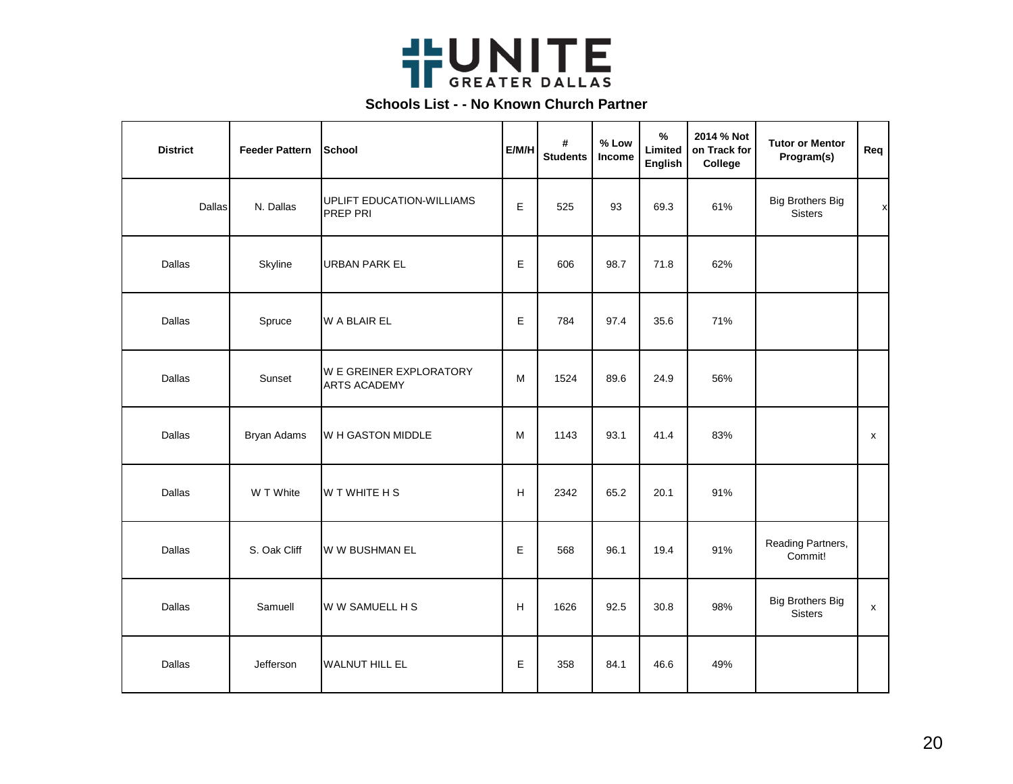

| <b>District</b> | <b>Feeder Pattern</b> | School                                         | E/M/H | #<br><b>Students</b> | % Low<br><b>Income</b> | %<br>Limited<br>English | 2014 % Not<br>on Track for<br>College | <b>Tutor or Mentor</b><br>Program(s)      | Req                |
|-----------------|-----------------------|------------------------------------------------|-------|----------------------|------------------------|-------------------------|---------------------------------------|-------------------------------------------|--------------------|
| Dallas          | N. Dallas             | <b>UPLIFT EDUCATION-WILLIAMS</b><br>PREP PRI   | E     | 525                  | 93                     | 69.3                    | 61%                                   | <b>Big Brothers Big</b><br><b>Sisters</b> | X                  |
| Dallas          | Skyline               | <b>URBAN PARK EL</b>                           | E     | 606                  | 98.7                   | 71.8                    | 62%                                   |                                           |                    |
| Dallas          | Spruce                | W A BLAIR EL                                   | Е     | 784                  | 97.4                   | 35.6                    | 71%                                   |                                           |                    |
| Dallas          | Sunset                | W E GREINER EXPLORATORY<br><b>ARTS ACADEMY</b> | M     | 1524                 | 89.6                   | 24.9                    | 56%                                   |                                           |                    |
| Dallas          | <b>Bryan Adams</b>    | W H GASTON MIDDLE                              | M     | 1143                 | 93.1                   | 41.4                    | 83%                                   |                                           | X                  |
| Dallas          | W T White             | W T WHITE H S                                  | H     | 2342                 | 65.2                   | 20.1                    | 91%                                   |                                           |                    |
| Dallas          | S. Oak Cliff          | W W BUSHMAN EL                                 | E     | 568                  | 96.1                   | 19.4                    | 91%                                   | Reading Partners,<br>Commit!              |                    |
| Dallas          | Samuell               | W W SAMUELL H S                                | H     | 1626                 | 92.5                   | 30.8                    | 98%                                   | <b>Big Brothers Big</b><br><b>Sisters</b> | $\pmb{\mathsf{x}}$ |
| Dallas          | Jefferson             | <b>WALNUT HILL EL</b>                          | Е     | 358                  | 84.1                   | 46.6                    | 49%                                   |                                           |                    |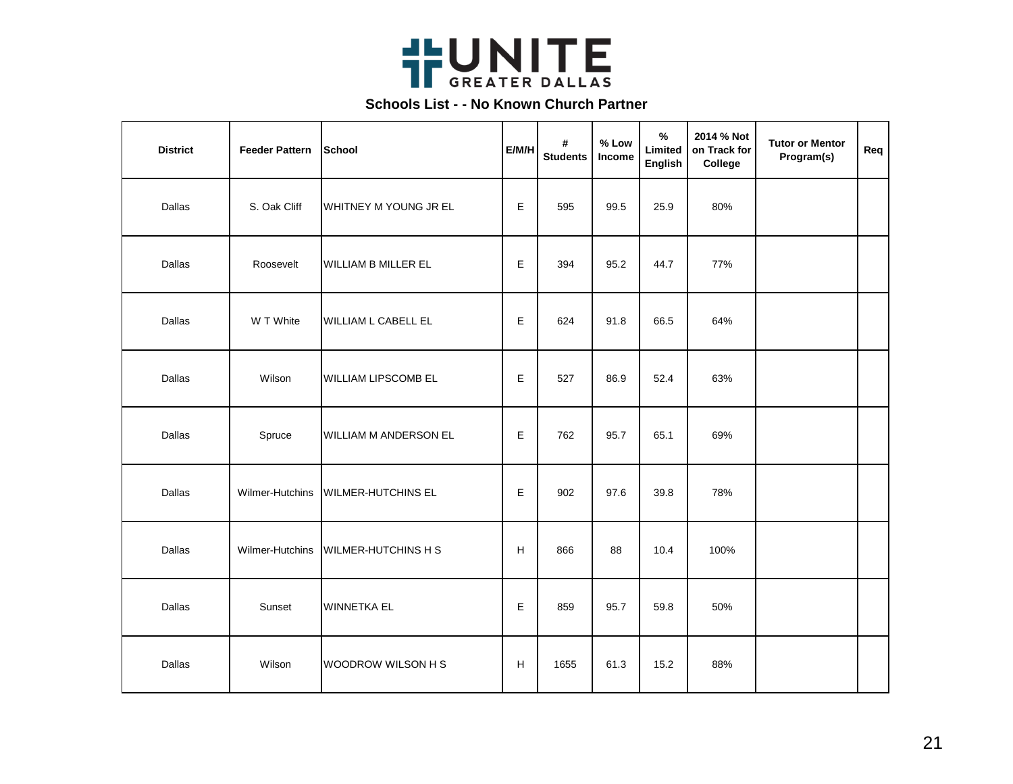

| <b>District</b> | <b>Feeder Pattern</b> | School                     | E/M/H | #<br><b>Students</b> | % Low<br>Income | $\%$<br>Limited<br>English | 2014 % Not<br>on Track for<br>College | <b>Tutor or Mentor</b><br>Program(s) | Req |
|-----------------|-----------------------|----------------------------|-------|----------------------|-----------------|----------------------------|---------------------------------------|--------------------------------------|-----|
| Dallas          | S. Oak Cliff          | WHITNEY M YOUNG JR EL      | E     | 595                  | 99.5            | 25.9                       | 80%                                   |                                      |     |
| Dallas          | Roosevelt             | WILLIAM B MILLER EL        | Е     | 394                  | 95.2            | 44.7                       | 77%                                   |                                      |     |
| Dallas          | W T White             | WILLIAM L CABELL EL        | Е     | 624                  | 91.8            | 66.5                       | 64%                                   |                                      |     |
| Dallas          | Wilson                | WILLIAM LIPSCOMB EL        | E     | 527                  | 86.9            | 52.4                       | 63%                                   |                                      |     |
| Dallas          | Spruce                | WILLIAM M ANDERSON EL      | Е     | 762                  | 95.7            | 65.1                       | 69%                                   |                                      |     |
| Dallas          | Wilmer-Hutchins       | <b>WILMER-HUTCHINS EL</b>  | Е     | 902                  | 97.6            | 39.8                       | 78%                                   |                                      |     |
| Dallas          | Wilmer-Hutchins       | <b>WILMER-HUTCHINS H S</b> | н     | 866                  | 88              | 10.4                       | 100%                                  |                                      |     |
| Dallas          | Sunset                | <b>WINNETKA EL</b>         | Е     | 859                  | 95.7            | 59.8                       | 50%                                   |                                      |     |
| Dallas          | Wilson                | WOODROW WILSON H S         | H     | 1655                 | 61.3            | 15.2                       | 88%                                   |                                      |     |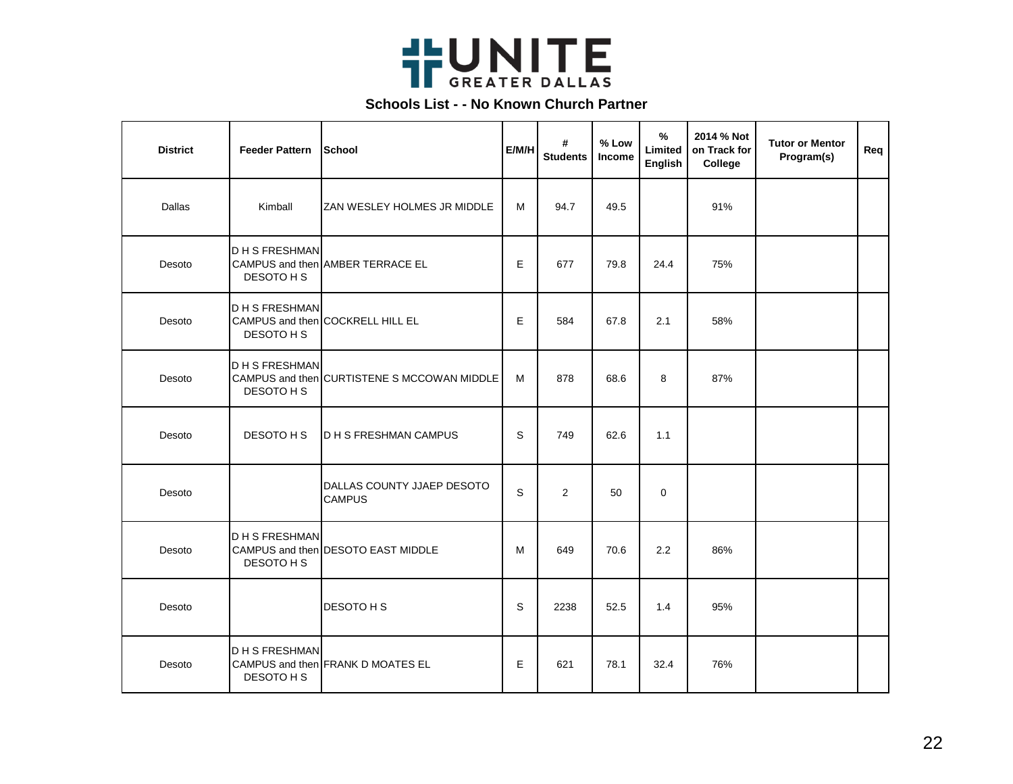

| <b>District</b> | <b>Feeder Pattern</b>            | <b>ISchool</b>                              | E/M/H        | #<br><b>Students</b> | % Low<br>Income | $\%$<br>Limited<br>English | 2014 % Not<br>on Track for<br>College | <b>Tutor or Mentor</b><br>Program(s) | Req |
|-----------------|----------------------------------|---------------------------------------------|--------------|----------------------|-----------------|----------------------------|---------------------------------------|--------------------------------------|-----|
| Dallas          | Kimball                          | ZAN WESLEY HOLMES JR MIDDLE                 | M            | 94.7                 | 49.5            |                            | 91%                                   |                                      |     |
| Desoto          | <b>DHSFRESHMAN</b><br>DESOTO H S | CAMPUS and then AMBER TERRACE EL            | E            | 677                  | 79.8            | 24.4                       | 75%                                   |                                      |     |
| Desoto          | <b>DHSFRESHMAN</b><br>DESOTO H S | CAMPUS and then COCKRELL HILL EL            | E            | 584                  | 67.8            | 2.1                        | 58%                                   |                                      |     |
| Desoto          | <b>DHSFRESHMAN</b><br>DESOTO H S | CAMPUS and then CURTISTENE S MCCOWAN MIDDLE | м            | 878                  | 68.6            | 8                          | 87%                                   |                                      |     |
| Desoto          | DESOTO H S                       | <b>D H S FRESHMAN CAMPUS</b>                | <sub>S</sub> | 749                  | 62.6            | 1.1                        |                                       |                                      |     |
| Desoto          |                                  | DALLAS COUNTY JJAEP DESOTO<br><b>CAMPUS</b> | $\mathsf S$  | 2                    | 50              | $\mathbf 0$                |                                       |                                      |     |
| Desoto          | <b>DHSFRESHMAN</b><br>DESOTO H S | CAMPUS and then DESOTO EAST MIDDLE          | м            | 649                  | 70.6            | 2.2                        | 86%                                   |                                      |     |
| Desoto          |                                  | DESOTO H S                                  | S            | 2238                 | 52.5            | 1.4                        | 95%                                   |                                      |     |
| Desoto          | <b>DHSFRESHMAN</b><br>DESOTO H S | CAMPUS and then FRANK D MOATES EL           | E            | 621                  | 78.1            | 32.4                       | 76%                                   |                                      |     |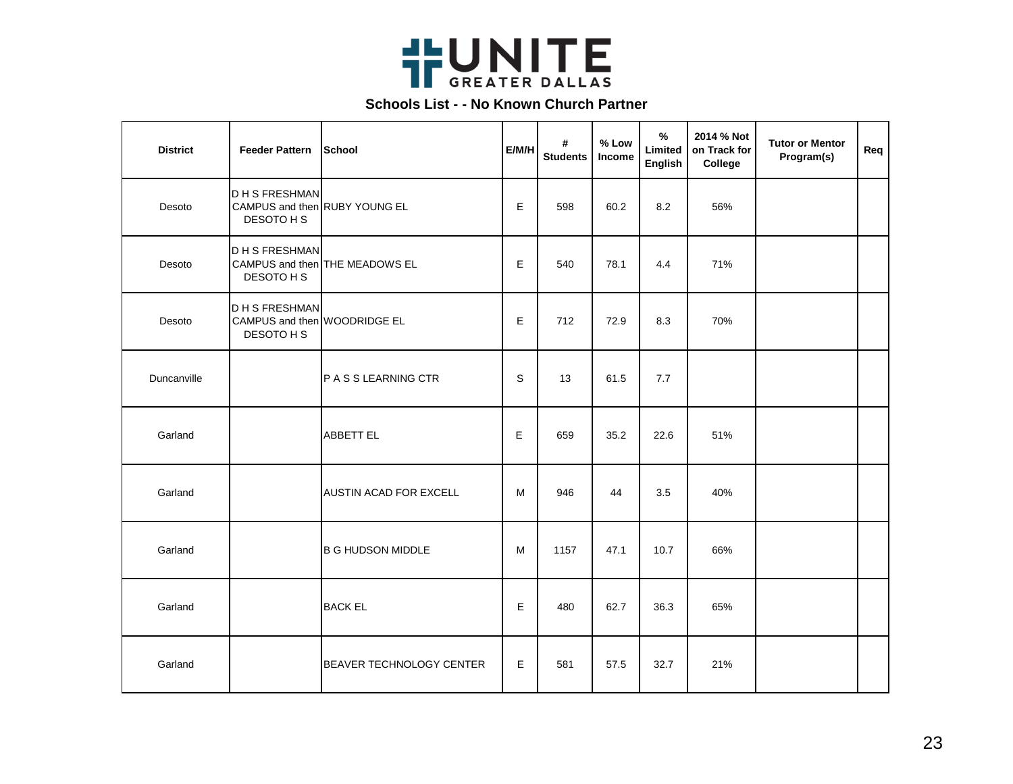

| <b>District</b> | <b>Feeder Pattern</b>                                             | School                         | E/M/H | #<br><b>Students</b> | % Low<br>Income | $\%$<br>Limited<br>English | 2014 % Not<br>on Track for<br>College | <b>Tutor or Mentor</b><br>Program(s) | Req |
|-----------------|-------------------------------------------------------------------|--------------------------------|-------|----------------------|-----------------|----------------------------|---------------------------------------|--------------------------------------|-----|
| Desoto          | <b>DHSFRESHMAN</b><br>CAMPUS and then RUBY YOUNG EL<br>DESOTO H S |                                | Е     | 598                  | 60.2            | 8.2                        | 56%                                   |                                      |     |
| Desoto          | <b>DHSFRESHMAN</b><br>DESOTO H S                                  | CAMPUS and then THE MEADOWS EL | E     | 540                  | 78.1            | 4.4                        | 71%                                   |                                      |     |
| Desoto          | <b>DHSFRESHMAN</b><br>CAMPUS and then WOODRIDGE EL<br>DESOTO H S  |                                | Е     | 712                  | 72.9            | 8.3                        | 70%                                   |                                      |     |
| Duncanville     |                                                                   | P A S S LEARNING CTR           | S     | 13                   | 61.5            | 7.7                        |                                       |                                      |     |
| Garland         |                                                                   | <b>ABBETT EL</b>               | E     | 659                  | 35.2            | 22.6                       | 51%                                   |                                      |     |
| Garland         |                                                                   | AUSTIN ACAD FOR EXCELL         | М     | 946                  | 44              | 3.5                        | 40%                                   |                                      |     |
| Garland         |                                                                   | <b>B G HUDSON MIDDLE</b>       | м     | 1157                 | 47.1            | 10.7                       | 66%                                   |                                      |     |
| Garland         |                                                                   | <b>BACK EL</b>                 | E     | 480                  | 62.7            | 36.3                       | 65%                                   |                                      |     |
| Garland         |                                                                   | BEAVER TECHNOLOGY CENTER       | E     | 581                  | 57.5            | 32.7                       | 21%                                   |                                      |     |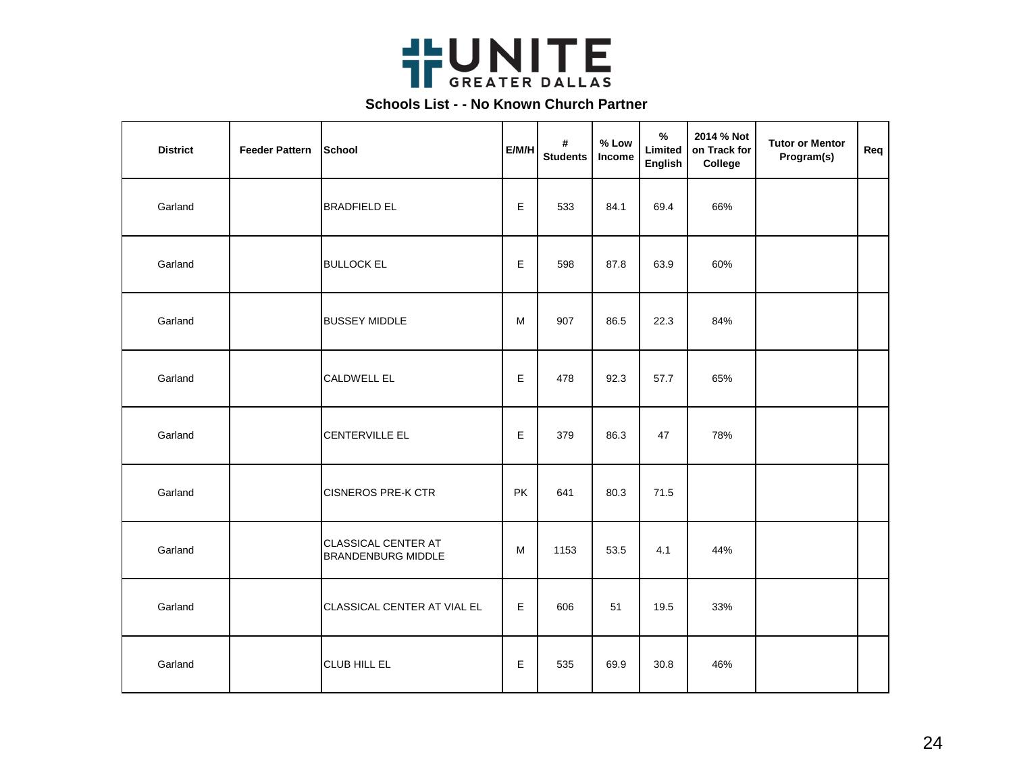

| <b>District</b> | <b>Feeder Pattern</b> | School                                           | E/M/H     | #<br><b>Students</b> | % Low<br>Income | $\%$<br>Limited<br><b>English</b> | 2014 % Not<br>on Track for<br>College | <b>Tutor or Mentor</b><br>Program(s) | Req |
|-----------------|-----------------------|--------------------------------------------------|-----------|----------------------|-----------------|-----------------------------------|---------------------------------------|--------------------------------------|-----|
| Garland         |                       | <b>BRADFIELD EL</b>                              | E         | 533                  | 84.1            | 69.4                              | 66%                                   |                                      |     |
| Garland         |                       | <b>BULLOCK EL</b>                                | Е         | 598                  | 87.8            | 63.9                              | 60%                                   |                                      |     |
| Garland         |                       | <b>BUSSEY MIDDLE</b>                             | M         | 907                  | 86.5            | 22.3                              | 84%                                   |                                      |     |
| Garland         |                       | <b>CALDWELL EL</b>                               | E         | 478                  | 92.3            | 57.7                              | 65%                                   |                                      |     |
| Garland         |                       | <b>CENTERVILLE EL</b>                            | E         | 379                  | 86.3            | 47                                | 78%                                   |                                      |     |
| Garland         |                       | <b>CISNEROS PRE-K CTR</b>                        | <b>PK</b> | 641                  | 80.3            | 71.5                              |                                       |                                      |     |
| Garland         |                       | CLASSICAL CENTER AT<br><b>BRANDENBURG MIDDLE</b> | M         | 1153                 | 53.5            | 4.1                               | 44%                                   |                                      |     |
| Garland         |                       | CLASSICAL CENTER AT VIAL EL                      | Е         | 606                  | 51              | 19.5                              | 33%                                   |                                      |     |
| Garland         |                       | <b>CLUB HILL EL</b>                              | E         | 535                  | 69.9            | 30.8                              | 46%                                   |                                      |     |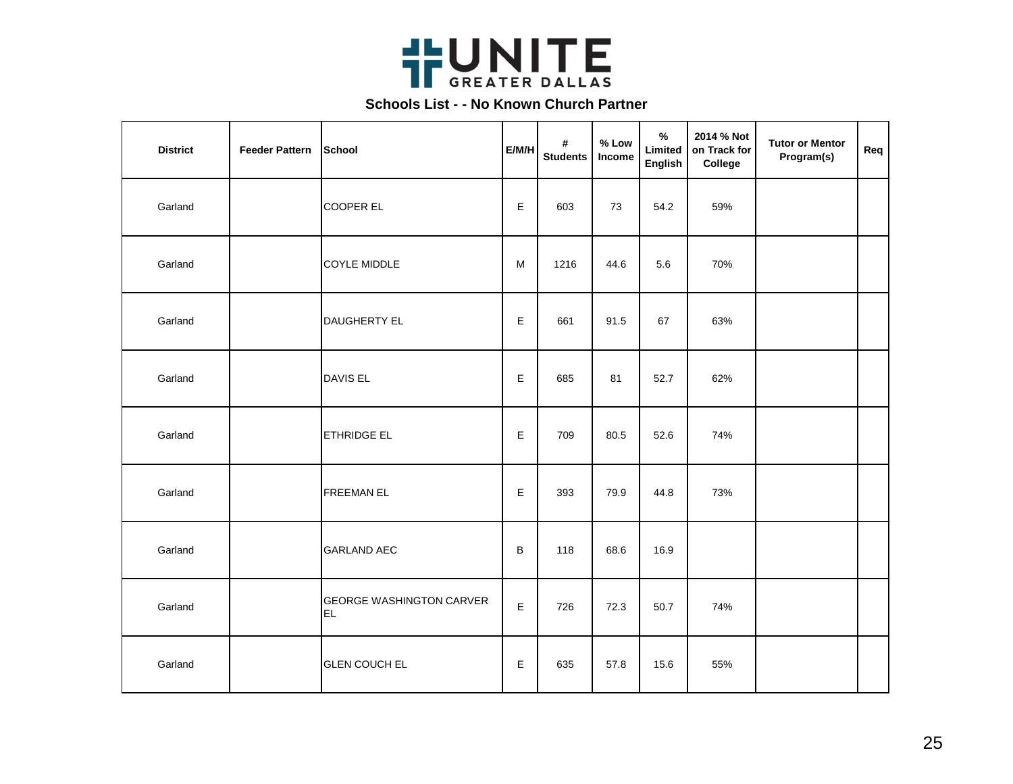

| <b>District</b> | <b>Feeder Pattern</b> | <b>School</b>                         | E/M/H | #<br><b>Students</b> | % Low<br>Income | %<br>Limited<br><b>English</b> | 2014 % Not<br>on Track for<br>College | <b>Tutor or Mentor</b><br>Program(s) | Req |
|-----------------|-----------------------|---------------------------------------|-------|----------------------|-----------------|--------------------------------|---------------------------------------|--------------------------------------|-----|
| Garland         |                       | <b>COOPER EL</b>                      | E.    | 603                  | 73              | 54.2                           | 59%                                   |                                      |     |
| Garland         |                       | <b>COYLE MIDDLE</b>                   | M     | 1216                 | 44.6            | 5.6                            | 70%                                   |                                      |     |
| Garland         |                       | DAUGHERTY EL                          | E     | 661                  | 91.5            | 67                             | 63%                                   |                                      |     |
| Garland         |                       | <b>DAVIS EL</b>                       | E     | 685                  | 81              | 52.7                           | 62%                                   |                                      |     |
| Garland         |                       | <b>ETHRIDGE EL</b>                    | E     | 709                  | 80.5            | 52.6                           | 74%                                   |                                      |     |
| Garland         |                       | <b>FREEMAN EL</b>                     | E     | 393                  | 79.9            | 44.8                           | 73%                                   |                                      |     |
| Garland         |                       | <b>GARLAND AEC</b>                    | B     | 118                  | 68.6            | 16.9                           |                                       |                                      |     |
| Garland         |                       | <b>GEORGE WASHINGTON CARVER</b><br>EL | E     | 726                  | 72.3            | 50.7                           | 74%                                   |                                      |     |
| Garland         |                       | <b>GLEN COUCH EL</b>                  | Е     | 635                  | 57.8            | 15.6                           | 55%                                   |                                      |     |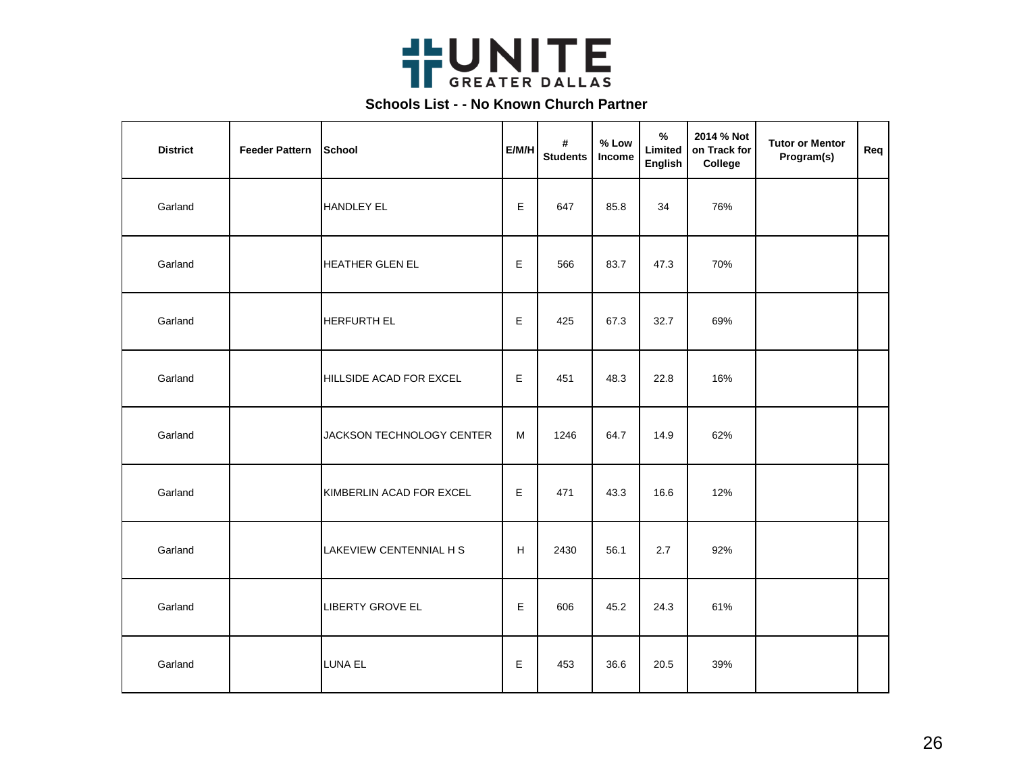

| <b>District</b> | <b>Feeder Pattern</b> | School                    | E/M/H       | #<br><b>Students</b> | % Low<br>Income | $\frac{9}{6}$<br>Limited<br><b>English</b> | 2014 % Not<br>on Track for<br>College | <b>Tutor or Mentor</b><br>Program(s) | Req |
|-----------------|-----------------------|---------------------------|-------------|----------------------|-----------------|--------------------------------------------|---------------------------------------|--------------------------------------|-----|
| Garland         |                       | <b>HANDLEY EL</b>         | E           | 647                  | 85.8            | 34                                         | 76%                                   |                                      |     |
| Garland         |                       | <b>HEATHER GLEN EL</b>    | E           | 566                  | 83.7            | 47.3                                       | 70%                                   |                                      |     |
| Garland         |                       | <b>HERFURTH EL</b>        | $\mathsf E$ | 425                  | 67.3            | 32.7                                       | 69%                                   |                                      |     |
| Garland         |                       | HILLSIDE ACAD FOR EXCEL   | $\mathsf E$ | 451                  | 48.3            | 22.8                                       | 16%                                   |                                      |     |
| Garland         |                       | JACKSON TECHNOLOGY CENTER | M           | 1246                 | 64.7            | 14.9                                       | 62%                                   |                                      |     |
| Garland         |                       | KIMBERLIN ACAD FOR EXCEL  | E           | 471                  | 43.3            | 16.6                                       | 12%                                   |                                      |     |
| Garland         |                       | LAKEVIEW CENTENNIAL H S   | H           | 2430                 | 56.1            | 2.7                                        | 92%                                   |                                      |     |
| Garland         |                       | LIBERTY GROVE EL          | Е           | 606                  | 45.2            | 24.3                                       | 61%                                   |                                      |     |
| Garland         |                       | <b>LUNA EL</b>            | $\mathsf E$ | 453                  | 36.6            | 20.5                                       | 39%                                   |                                      |     |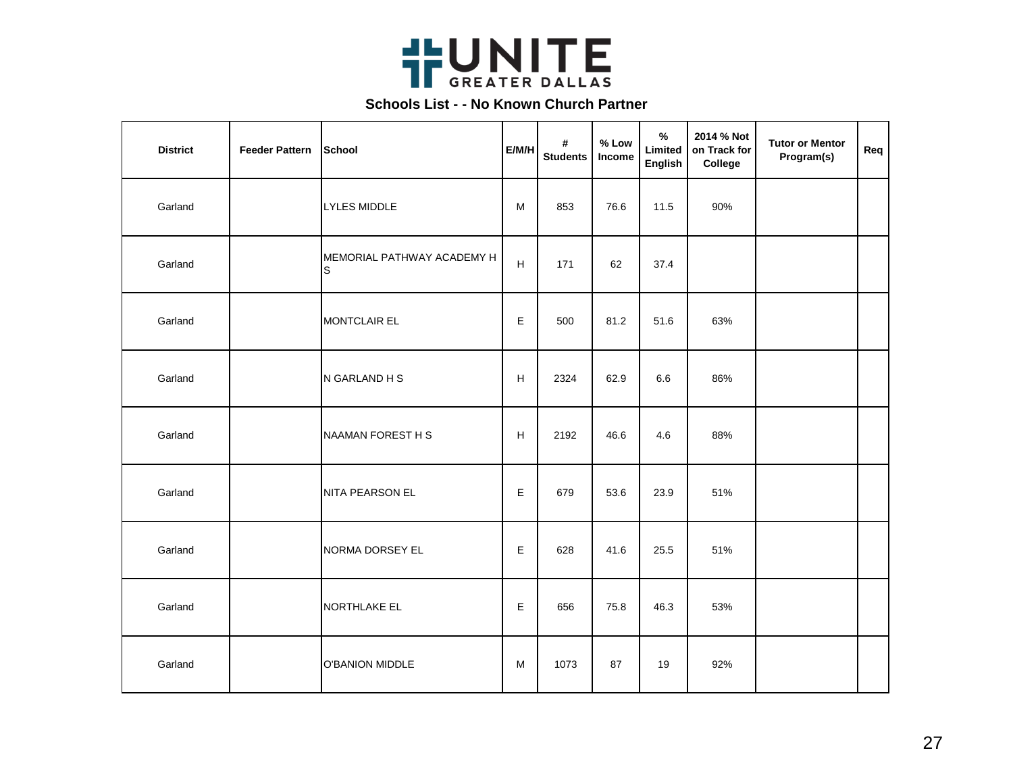

| <b>District</b> | <b>Feeder Pattern</b> | <b>School</b>                   | E/M/H                     | #<br><b>Students</b> | % Low<br>Income | $\%$<br>Limited<br>English | 2014 % Not<br>on Track for<br>College | <b>Tutor or Mentor</b><br>Program(s) | Req |
|-----------------|-----------------------|---------------------------------|---------------------------|----------------------|-----------------|----------------------------|---------------------------------------|--------------------------------------|-----|
| Garland         |                       | <b>LYLES MIDDLE</b>             | M                         | 853                  | 76.6            | 11.5                       | 90%                                   |                                      |     |
| Garland         |                       | MEMORIAL PATHWAY ACADEMY H<br>S | $\boldsymbol{\mathsf{H}}$ | 171                  | 62              | 37.4                       |                                       |                                      |     |
| Garland         |                       | <b>MONTCLAIR EL</b>             | E                         | 500                  | 81.2            | 51.6                       | 63%                                   |                                      |     |
| Garland         |                       | N GARLAND H S                   | H                         | 2324                 | 62.9            | 6.6                        | 86%                                   |                                      |     |
| Garland         |                       | NAAMAN FOREST H S               | H                         | 2192                 | 46.6            | 4.6                        | 88%                                   |                                      |     |
| Garland         |                       | NITA PEARSON EL                 | E                         | 679                  | 53.6            | 23.9                       | 51%                                   |                                      |     |
| Garland         |                       | NORMA DORSEY EL                 | E                         | 628                  | 41.6            | 25.5                       | 51%                                   |                                      |     |
| Garland         |                       | NORTHLAKE EL                    | Е                         | 656                  | 75.8            | 46.3                       | 53%                                   |                                      |     |
| Garland         |                       | <b>O'BANION MIDDLE</b>          | M                         | 1073                 | 87              | 19                         | 92%                                   |                                      |     |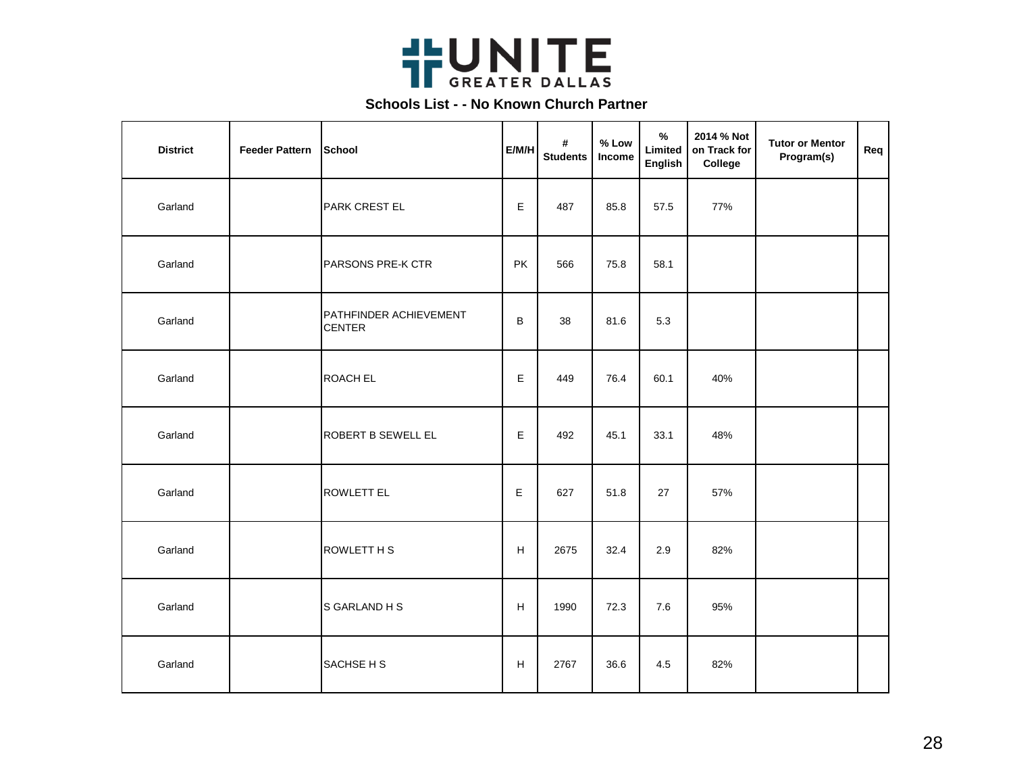

| <b>District</b> | <b>Feeder Pattern</b> | <b>School</b>                           | E/M/H | #<br><b>Students</b> | % Low<br>Income | $\%$<br>Limited<br>English | 2014 % Not<br>on Track for<br>College | <b>Tutor or Mentor</b><br>Program(s) | Req |
|-----------------|-----------------------|-----------------------------------------|-------|----------------------|-----------------|----------------------------|---------------------------------------|--------------------------------------|-----|
| Garland         |                       | <b>PARK CREST EL</b>                    | E     | 487                  | 85.8            | 57.5                       | 77%                                   |                                      |     |
| Garland         |                       | PARSONS PRE-K CTR                       | PK    | 566                  | 75.8            | 58.1                       |                                       |                                      |     |
| Garland         |                       | PATHFINDER ACHIEVEMENT<br><b>CENTER</b> | B     | 38                   | 81.6            | 5.3                        |                                       |                                      |     |
| Garland         |                       | <b>ROACH EL</b>                         | E     | 449                  | 76.4            | 60.1                       | 40%                                   |                                      |     |
| Garland         |                       | ROBERT B SEWELL EL                      | E     | 492                  | 45.1            | 33.1                       | 48%                                   |                                      |     |
| Garland         |                       | <b>ROWLETT EL</b>                       | E     | 627                  | 51.8            | 27                         | 57%                                   |                                      |     |
| Garland         |                       | ROWLETT H S                             | H     | 2675                 | 32.4            | 2.9                        | 82%                                   |                                      |     |
| Garland         |                       | S GARLAND H S                           | H     | 1990                 | 72.3            | 7.6                        | 95%                                   |                                      |     |
| Garland         |                       | SACHSE H S                              | H     | 2767                 | 36.6            | 4.5                        | 82%                                   |                                      |     |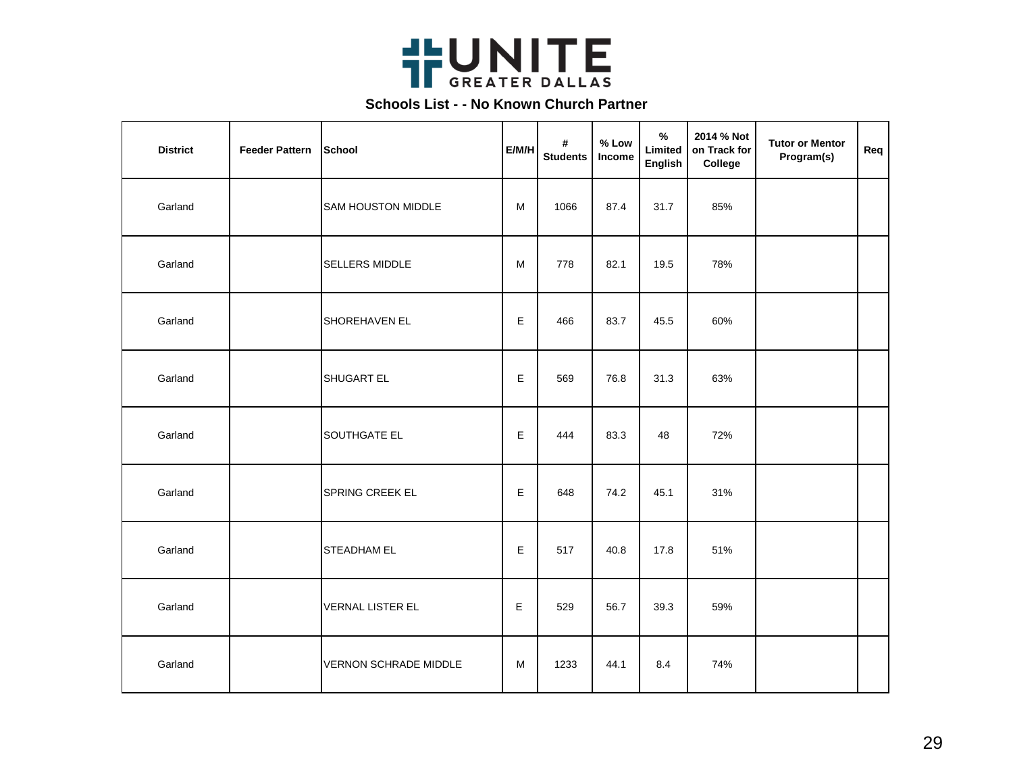

| <b>District</b> | <b>Feeder Pattern</b> | School                    | E/M/H | #<br><b>Students</b> | % Low<br>Income | $\frac{1}{2}$<br>Limited<br>English | 2014 % Not<br>on Track for<br>College | <b>Tutor or Mentor</b><br>Program(s) | Req |
|-----------------|-----------------------|---------------------------|-------|----------------------|-----------------|-------------------------------------|---------------------------------------|--------------------------------------|-----|
| Garland         |                       | <b>SAM HOUSTON MIDDLE</b> | M     | 1066                 | 87.4            | 31.7                                | 85%                                   |                                      |     |
| Garland         |                       | <b>SELLERS MIDDLE</b>     | M     | 778                  | 82.1            | 19.5                                | 78%                                   |                                      |     |
| Garland         |                       | SHOREHAVEN EL             | E     | 466                  | 83.7            | 45.5                                | 60%                                   |                                      |     |
| Garland         |                       | SHUGART EL                | E     | 569                  | 76.8            | 31.3                                | 63%                                   |                                      |     |
| Garland         |                       | SOUTHGATE EL              | E     | 444                  | 83.3            | 48                                  | 72%                                   |                                      |     |
| Garland         |                       | SPRING CREEK EL           | E     | 648                  | 74.2            | 45.1                                | 31%                                   |                                      |     |
| Garland         |                       | <b>STEADHAM EL</b>        | E     | 517                  | 40.8            | 17.8                                | 51%                                   |                                      |     |
| Garland         |                       | <b>VERNAL LISTER EL</b>   | Е     | 529                  | 56.7            | 39.3                                | 59%                                   |                                      |     |
| Garland         |                       | VERNON SCHRADE MIDDLE     | M     | 1233                 | 44.1            | 8.4                                 | 74%                                   |                                      |     |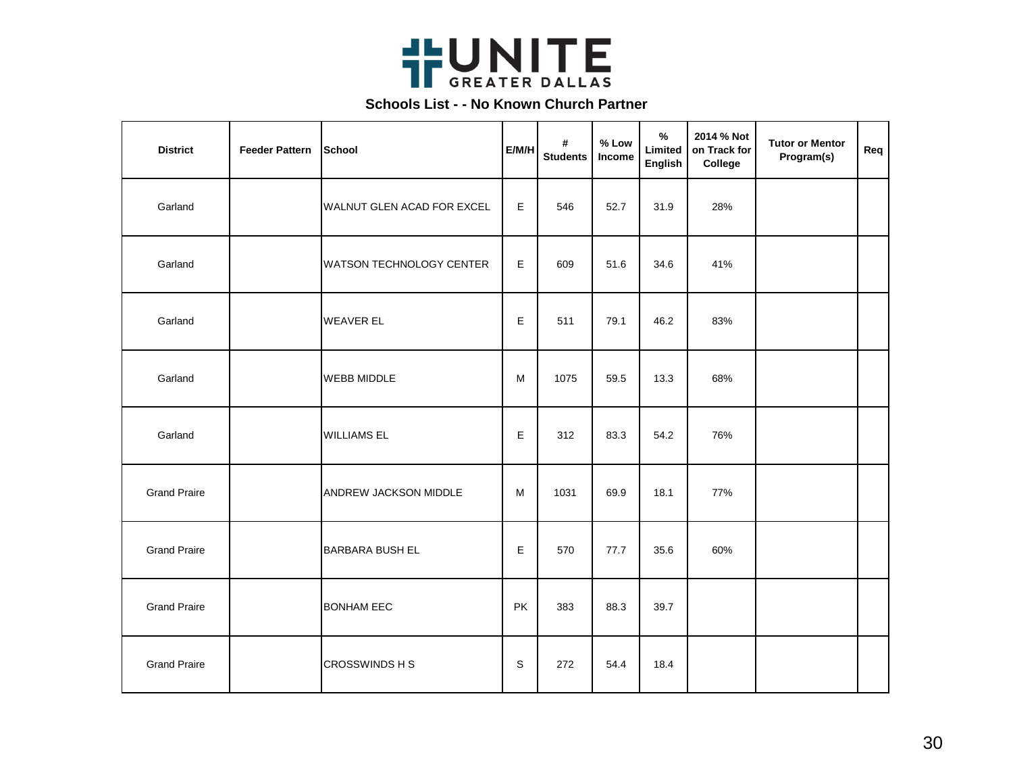

| <b>District</b>     | <b>Feeder Pattern</b> | School                          | E/M/H | #<br><b>Students</b> | % Low<br>Income | $\frac{1}{2}$<br>Limited<br>English | 2014 % Not<br>on Track for<br>College | <b>Tutor or Mentor</b><br>Program(s) | Req |
|---------------------|-----------------------|---------------------------------|-------|----------------------|-----------------|-------------------------------------|---------------------------------------|--------------------------------------|-----|
| Garland             |                       | WALNUT GLEN ACAD FOR EXCEL      | E     | 546                  | 52.7            | 31.9                                | 28%                                   |                                      |     |
| Garland             |                       | <b>WATSON TECHNOLOGY CENTER</b> | E     | 609                  | 51.6            | 34.6                                | 41%                                   |                                      |     |
| Garland             |                       | <b>WEAVER EL</b>                | E     | 511                  | 79.1            | 46.2                                | 83%                                   |                                      |     |
| Garland             |                       | <b>WEBB MIDDLE</b>              | M     | 1075                 | 59.5            | 13.3                                | 68%                                   |                                      |     |
| Garland             |                       | <b>WILLIAMS EL</b>              | E     | 312                  | 83.3            | 54.2                                | 76%                                   |                                      |     |
| <b>Grand Praire</b> |                       | ANDREW JACKSON MIDDLE           | M     | 1031                 | 69.9            | 18.1                                | 77%                                   |                                      |     |
| <b>Grand Praire</b> |                       | BARBARA BUSH EL                 | E     | 570                  | 77.7            | 35.6                                | 60%                                   |                                      |     |
| <b>Grand Praire</b> |                       | <b>BONHAM EEC</b>               | PK    | 383                  | 88.3            | 39.7                                |                                       |                                      |     |
| <b>Grand Praire</b> |                       | CROSSWINDS H S                  | S     | 272                  | 54.4            | 18.4                                |                                       |                                      |     |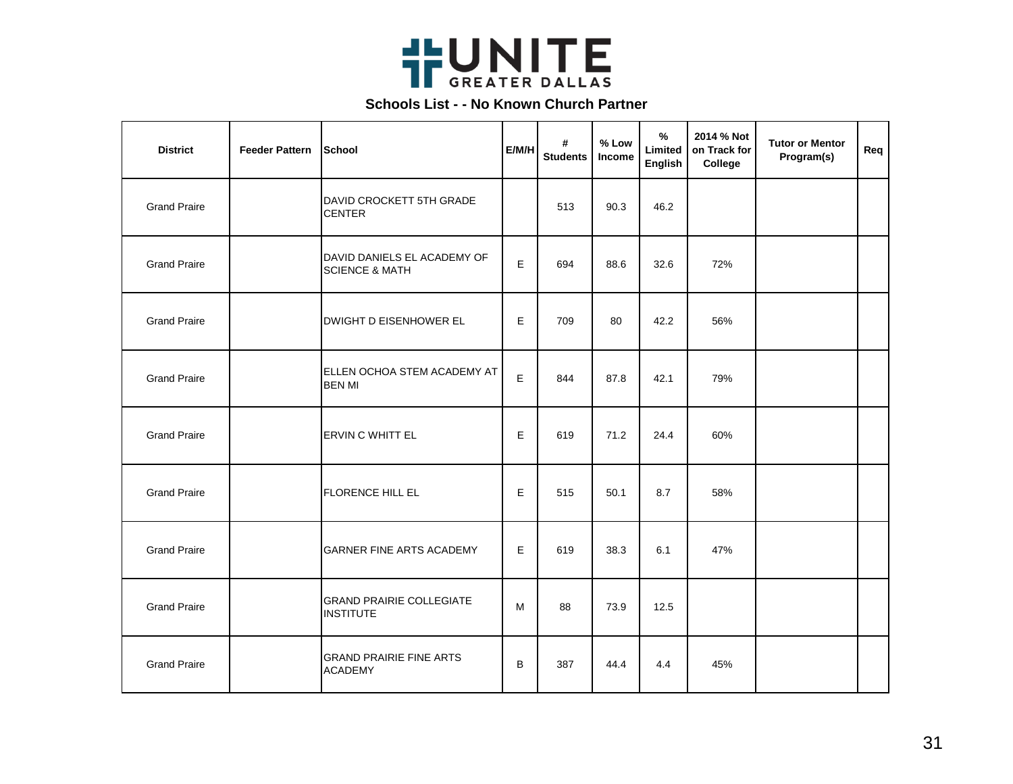

| <b>District</b>     | <b>Feeder Pattern</b> | <b>School</b>                                            | E/M/H | #<br><b>Students</b> | % Low<br>Income | $\%$<br>Limited<br>English | 2014 % Not<br>on Track for<br>College | <b>Tutor or Mentor</b><br>Program(s) | Req |
|---------------------|-----------------------|----------------------------------------------------------|-------|----------------------|-----------------|----------------------------|---------------------------------------|--------------------------------------|-----|
| <b>Grand Praire</b> |                       | DAVID CROCKETT 5TH GRADE<br><b>CENTER</b>                |       | 513                  | 90.3            | 46.2                       |                                       |                                      |     |
| <b>Grand Praire</b> |                       | DAVID DANIELS EL ACADEMY OF<br><b>SCIENCE &amp; MATH</b> | E     | 694                  | 88.6            | 32.6                       | 72%                                   |                                      |     |
| <b>Grand Praire</b> |                       | <b>DWIGHT D EISENHOWER EL</b>                            | E     | 709                  | 80              | 42.2                       | 56%                                   |                                      |     |
| <b>Grand Praire</b> |                       | ELLEN OCHOA STEM ACADEMY AT<br><b>BEN MI</b>             | E     | 844                  | 87.8            | 42.1                       | 79%                                   |                                      |     |
| <b>Grand Praire</b> |                       | ERVIN C WHITT EL                                         | E     | 619                  | 71.2            | 24.4                       | 60%                                   |                                      |     |
| <b>Grand Praire</b> |                       | FLORENCE HILL EL                                         | E     | 515                  | 50.1            | 8.7                        | 58%                                   |                                      |     |
| <b>Grand Praire</b> |                       | <b>GARNER FINE ARTS ACADEMY</b>                          | E     | 619                  | 38.3            | 6.1                        | 47%                                   |                                      |     |
| <b>Grand Praire</b> |                       | <b>GRAND PRAIRIE COLLEGIATE</b><br><b>INSTITUTE</b>      | M     | 88                   | 73.9            | 12.5                       |                                       |                                      |     |
| <b>Grand Praire</b> |                       | <b>GRAND PRAIRIE FINE ARTS</b><br><b>ACADEMY</b>         | B     | 387                  | 44.4            | 4.4                        | 45%                                   |                                      |     |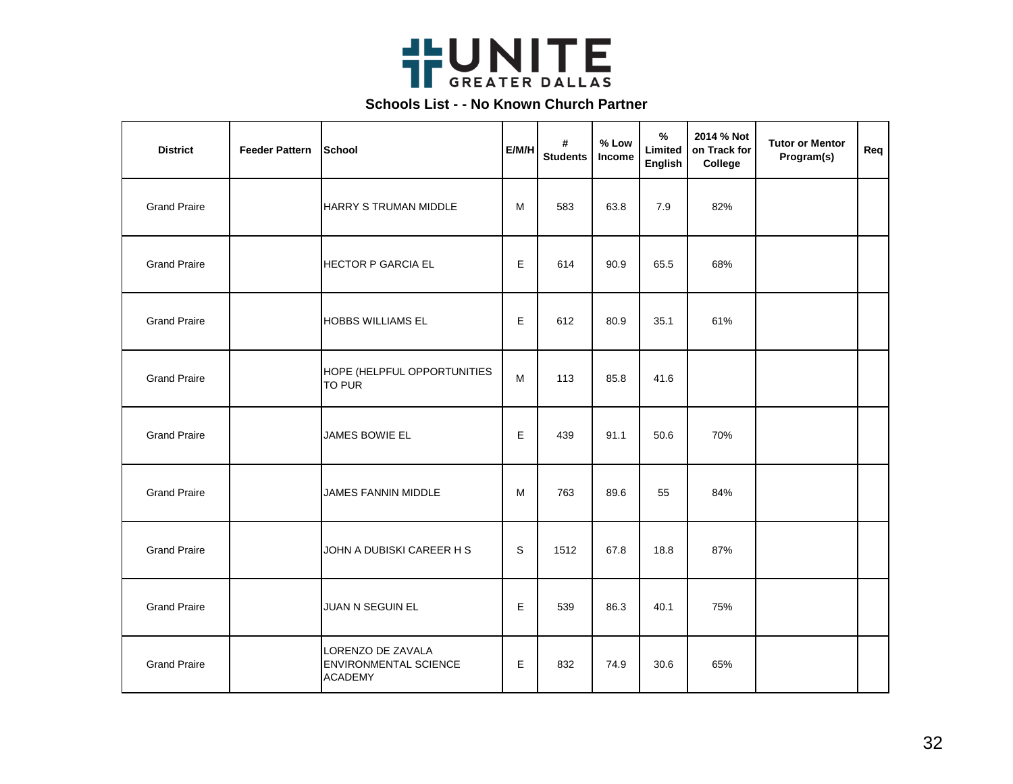

| <b>District</b>     | <b>Feeder Pattern</b> | School                                                              | E/M/H | #<br><b>Students</b> | % Low<br>Income | $\%$<br>Limited<br>English | 2014 % Not<br>on Track for<br>College | <b>Tutor or Mentor</b><br>Program(s) | Req |
|---------------------|-----------------------|---------------------------------------------------------------------|-------|----------------------|-----------------|----------------------------|---------------------------------------|--------------------------------------|-----|
| <b>Grand Praire</b> |                       | HARRY S TRUMAN MIDDLE                                               | M     | 583                  | 63.8            | 7.9                        | 82%                                   |                                      |     |
| <b>Grand Praire</b> |                       | <b>HECTOR P GARCIA EL</b>                                           | E.    | 614                  | 90.9            | 65.5                       | 68%                                   |                                      |     |
| <b>Grand Praire</b> |                       | <b>HOBBS WILLIAMS EL</b>                                            | E     | 612                  | 80.9            | 35.1                       | 61%                                   |                                      |     |
| <b>Grand Praire</b> |                       | HOPE (HELPFUL OPPORTUNITIES<br>TO PUR                               | M     | 113                  | 85.8            | 41.6                       |                                       |                                      |     |
| <b>Grand Praire</b> |                       | JAMES BOWIE EL                                                      | E     | 439                  | 91.1            | 50.6                       | 70%                                   |                                      |     |
| <b>Grand Praire</b> |                       | <b>JAMES FANNIN MIDDLE</b>                                          | M     | 763                  | 89.6            | 55                         | 84%                                   |                                      |     |
| <b>Grand Praire</b> |                       | JOHN A DUBISKI CAREER H S                                           | S     | 1512                 | 67.8            | 18.8                       | 87%                                   |                                      |     |
| <b>Grand Praire</b> |                       | JUAN N SEGUIN EL                                                    | E.    | 539                  | 86.3            | 40.1                       | 75%                                   |                                      |     |
| <b>Grand Praire</b> |                       | LORENZO DE ZAVALA<br><b>ENVIRONMENTAL SCIENCE</b><br><b>ACADEMY</b> | E     | 832                  | 74.9            | 30.6                       | 65%                                   |                                      |     |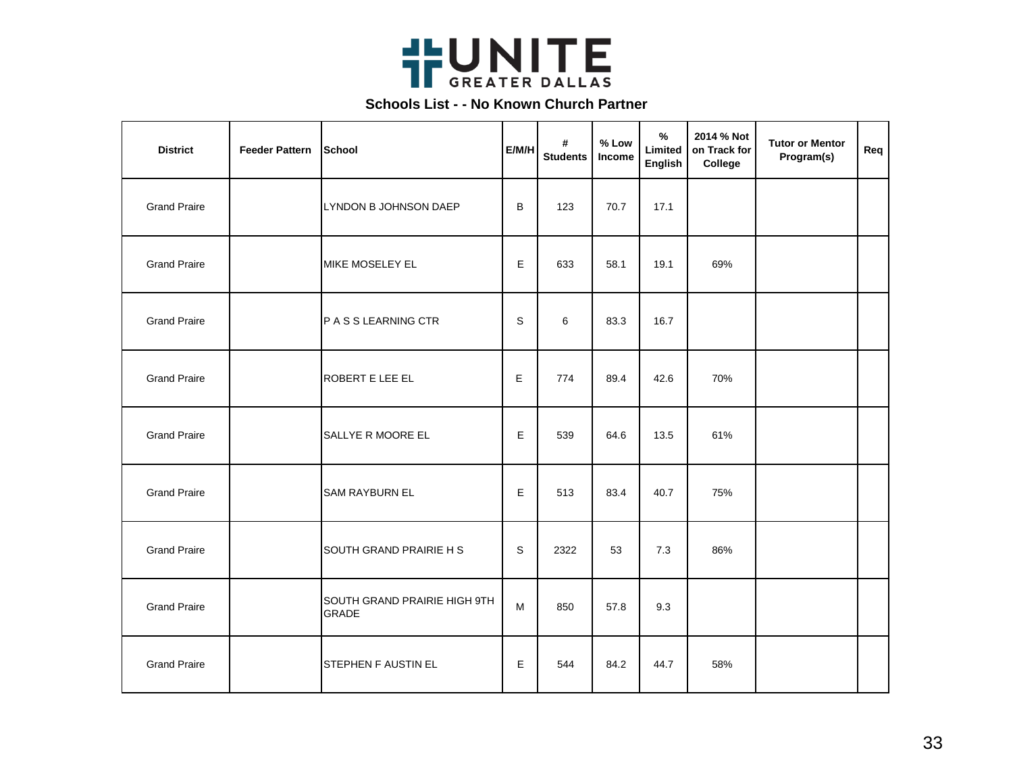

| <b>District</b>     | <b>Feeder Pattern</b> | School                                       | E/M/H | #<br><b>Students</b> | % Low<br>Income | $\frac{1}{2}$<br>Limited<br>English | 2014 % Not<br>on Track for<br>College | <b>Tutor or Mentor</b><br>Program(s) | Req |
|---------------------|-----------------------|----------------------------------------------|-------|----------------------|-----------------|-------------------------------------|---------------------------------------|--------------------------------------|-----|
| <b>Grand Praire</b> |                       | LYNDON B JOHNSON DAEP                        | B     | 123                  | 70.7            | 17.1                                |                                       |                                      |     |
| <b>Grand Praire</b> |                       | MIKE MOSELEY EL                              | E     | 633                  | 58.1            | 19.1                                | 69%                                   |                                      |     |
| <b>Grand Praire</b> |                       | P A S S LEARNING CTR                         | S     | 6                    | 83.3            | 16.7                                |                                       |                                      |     |
| <b>Grand Praire</b> |                       | <b>ROBERT E LEE EL</b>                       | E     | 774                  | 89.4            | 42.6                                | 70%                                   |                                      |     |
| <b>Grand Praire</b> |                       | SALLYE R MOORE EL                            | E.    | 539                  | 64.6            | 13.5                                | 61%                                   |                                      |     |
| <b>Grand Praire</b> |                       | <b>SAM RAYBURN EL</b>                        | E     | 513                  | 83.4            | 40.7                                | 75%                                   |                                      |     |
| <b>Grand Praire</b> |                       | SOUTH GRAND PRAIRIE H S                      | S     | 2322                 | 53              | 7.3                                 | 86%                                   |                                      |     |
| <b>Grand Praire</b> |                       | SOUTH GRAND PRAIRIE HIGH 9TH<br><b>GRADE</b> | M     | 850                  | 57.8            | 9.3                                 |                                       |                                      |     |
| <b>Grand Praire</b> |                       | STEPHEN F AUSTIN EL                          | E.    | 544                  | 84.2            | 44.7                                | 58%                                   |                                      |     |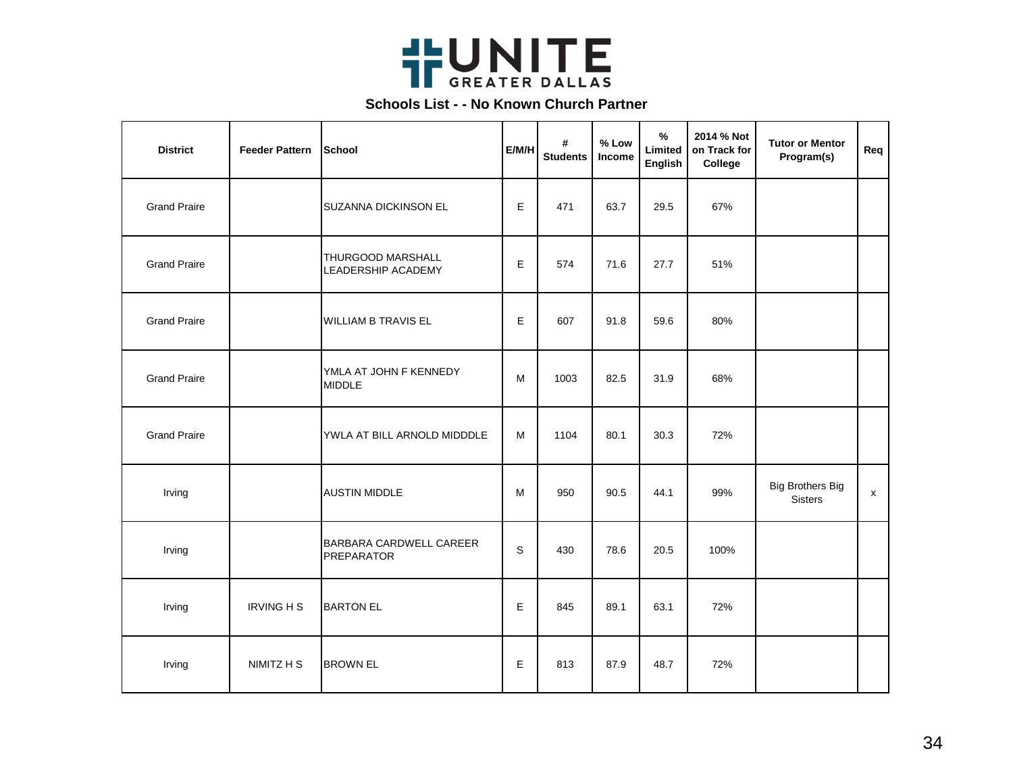

| <b>District</b>     | <b>Feeder Pattern</b> | School                                         | E/M/H | #<br><b>Students</b> | % Low<br><b>Income</b> | $\frac{1}{2}$<br>Limited<br>English | 2014 % Not<br>on Track for<br>College | <b>Tutor or Mentor</b><br>Program(s)      | Req |
|---------------------|-----------------------|------------------------------------------------|-------|----------------------|------------------------|-------------------------------------|---------------------------------------|-------------------------------------------|-----|
| <b>Grand Praire</b> |                       | SUZANNA DICKINSON EL                           | E     | 471                  | 63.7                   | 29.5                                | 67%                                   |                                           |     |
| <b>Grand Praire</b> |                       | THURGOOD MARSHALL<br><b>LEADERSHIP ACADEMY</b> | E     | 574                  | 71.6                   | 27.7                                | 51%                                   |                                           |     |
| <b>Grand Praire</b> |                       | <b>WILLIAM B TRAVIS EL</b>                     | E     | 607                  | 91.8                   | 59.6                                | 80%                                   |                                           |     |
| <b>Grand Praire</b> |                       | YMLA AT JOHN F KENNEDY<br><b>MIDDLE</b>        | M     | 1003                 | 82.5                   | 31.9                                | 68%                                   |                                           |     |
| <b>Grand Praire</b> |                       | YWLA AT BILL ARNOLD MIDDDLE                    | M     | 1104                 | 80.1                   | 30.3                                | 72%                                   |                                           |     |
| Irving              |                       | <b>AUSTIN MIDDLE</b>                           | M     | 950                  | 90.5                   | 44.1                                | 99%                                   | <b>Big Brothers Big</b><br><b>Sisters</b> | x   |
| Irving              |                       | BARBARA CARDWELL CAREER<br><b>PREPARATOR</b>   | S     | 430                  | 78.6                   | 20.5                                | 100%                                  |                                           |     |
| Irving              | <b>IRVING H S</b>     | <b>BARTON EL</b>                               | E     | 845                  | 89.1                   | 63.1                                | 72%                                   |                                           |     |
| Irving              | NIMITZ H S            | <b>BROWN EL</b>                                | E     | 813                  | 87.9                   | 48.7                                | 72%                                   |                                           |     |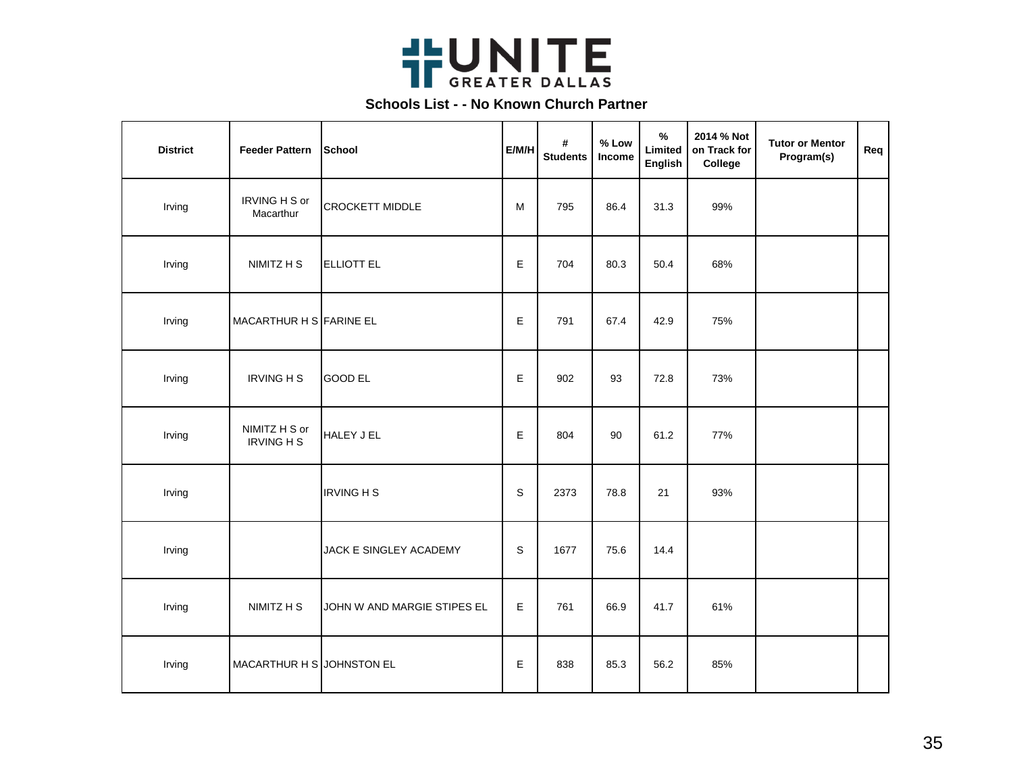

| <b>District</b> | <b>Feeder Pattern</b>              | School                      | E/M/H       | #<br><b>Students</b> | % Low<br>Income | $\%$<br>Limited<br><b>English</b> | 2014 % Not<br>on Track for<br>College | <b>Tutor or Mentor</b><br>Program(s) | Req |
|-----------------|------------------------------------|-----------------------------|-------------|----------------------|-----------------|-----------------------------------|---------------------------------------|--------------------------------------|-----|
| Irving          | IRVING H S or<br>Macarthur         | <b>CROCKETT MIDDLE</b>      | M           | 795                  | 86.4            | 31.3                              | 99%                                   |                                      |     |
| Irving          | NIMITZ H S                         | <b>ELLIOTT EL</b>           | E           | 704                  | 80.3            | 50.4                              | 68%                                   |                                      |     |
| Irving          | MACARTHUR H S FARINE EL            |                             | E           | 791                  | 67.4            | 42.9                              | 75%                                   |                                      |     |
| Irving          | <b>IRVING H S</b>                  | <b>GOOD EL</b>              | Е           | 902                  | 93              | 72.8                              | 73%                                   |                                      |     |
| Irving          | NIMITZ H S or<br><b>IRVING H S</b> | HALEY J EL                  | E           | 804                  | 90              | 61.2                              | 77%                                   |                                      |     |
| Irving          |                                    | <b>IRVING H S</b>           | $\mathbf S$ | 2373                 | 78.8            | 21                                | 93%                                   |                                      |     |
| Irving          |                                    | JACK E SINGLEY ACADEMY      | S           | 1677                 | 75.6            | 14.4                              |                                       |                                      |     |
| Irving          | NIMITZ H S                         | JOHN W AND MARGIE STIPES EL | E           | 761                  | 66.9            | 41.7                              | 61%                                   |                                      |     |
| Irving          | MACARTHUR H S JOHNSTON EL          |                             | E           | 838                  | 85.3            | 56.2                              | 85%                                   |                                      |     |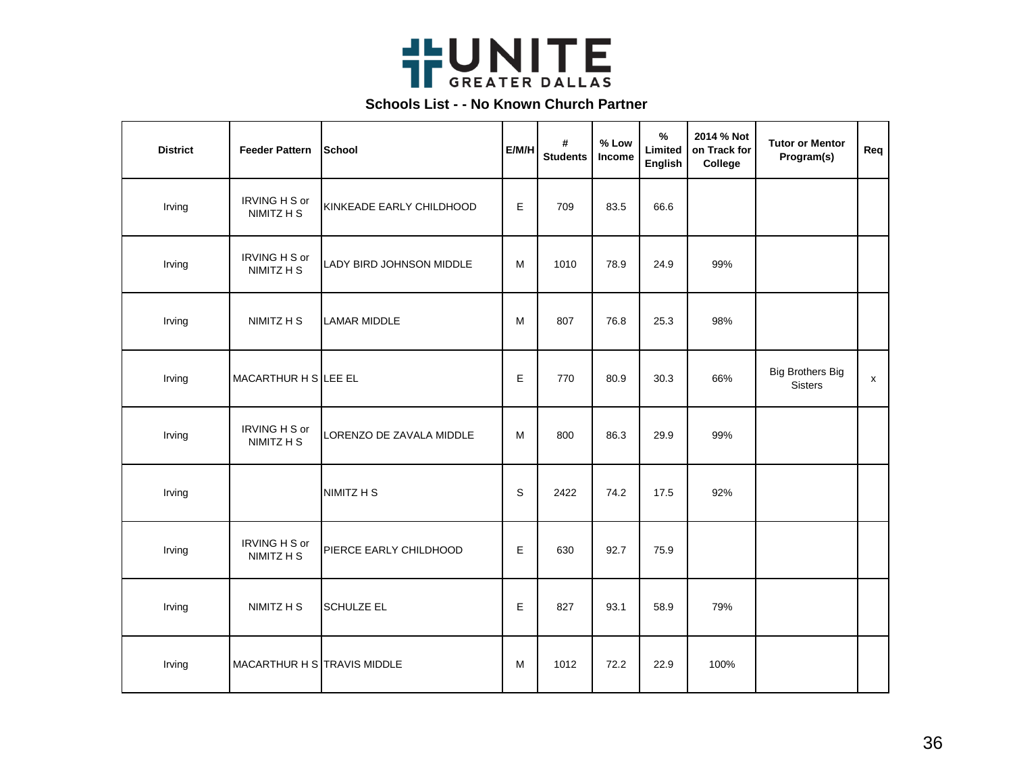

| <b>District</b> | <b>Feeder Pattern</b>              | School                   | E/M/H | #<br><b>Students</b> | % Low<br>Income | $\%$<br>Limited<br>English | 2014 % Not<br>on Track for<br>College | <b>Tutor or Mentor</b><br>Program(s)      | Req |
|-----------------|------------------------------------|--------------------------|-------|----------------------|-----------------|----------------------------|---------------------------------------|-------------------------------------------|-----|
| Irving          | <b>IRVING H S or</b><br>NIMITZ H S | KINKEADE EARLY CHILDHOOD | E     | 709                  | 83.5            | 66.6                       |                                       |                                           |     |
| Irving          | IRVING H S or<br>NIMITZ H S        | LADY BIRD JOHNSON MIDDLE | M     | 1010                 | 78.9            | 24.9                       | 99%                                   |                                           |     |
| Irving          | NIMITZ H S                         | <b>LAMAR MIDDLE</b>      | M     | 807                  | 76.8            | 25.3                       | 98%                                   |                                           |     |
| Irving          | MACARTHUR H S LEE EL               |                          | E     | 770                  | 80.9            | 30.3                       | 66%                                   | <b>Big Brothers Big</b><br><b>Sisters</b> | x   |
| Irving          | IRVING H S or<br>NIMITZ H S        | LORENZO DE ZAVALA MIDDLE | M     | 800                  | 86.3            | 29.9                       | 99%                                   |                                           |     |
| Irving          |                                    | NIMITZ H S               | S     | 2422                 | 74.2            | 17.5                       | 92%                                   |                                           |     |
| Irving          | IRVING H S or<br>NIMITZ H S        | PIERCE EARLY CHILDHOOD   | Е     | 630                  | 92.7            | 75.9                       |                                       |                                           |     |
| Irving          | NIMITZ H S                         | <b>SCHULZE EL</b>        | E     | 827                  | 93.1            | 58.9                       | 79%                                   |                                           |     |
| Irving          | MACARTHUR H STRAVIS MIDDLE         |                          | м     | 1012                 | 72.2            | 22.9                       | 100%                                  |                                           |     |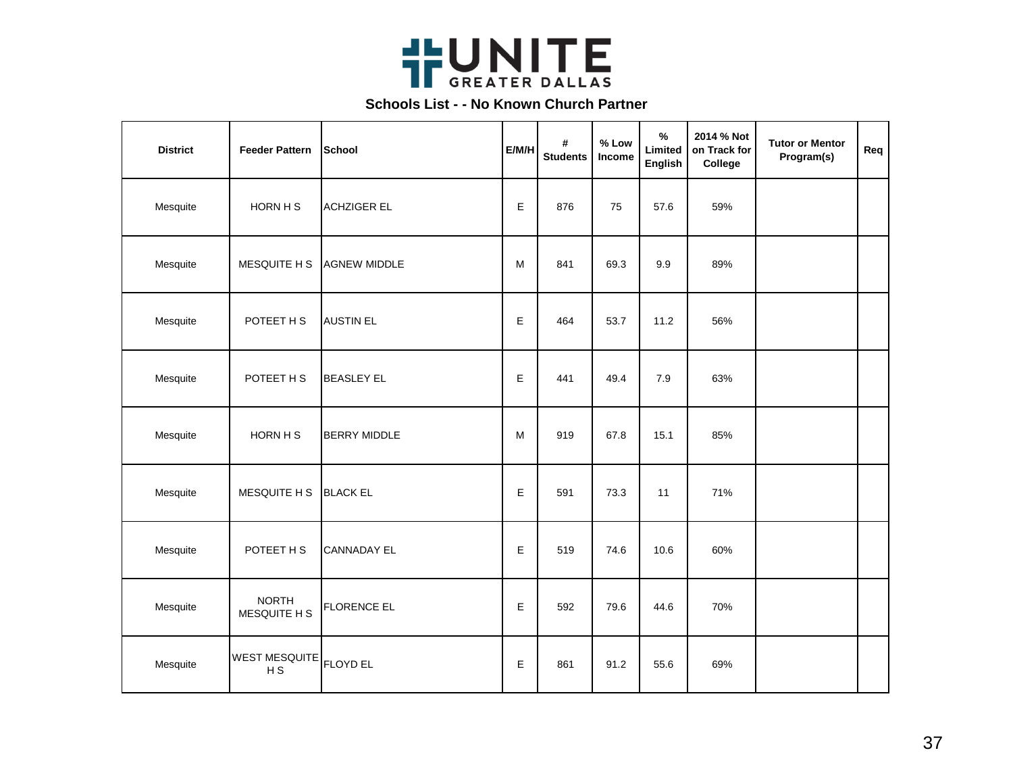

| <b>District</b> | <b>Feeder Pattern</b>        | School              | E/M/H | #<br><b>Students</b> | $%$ Low<br>Income | $\%$<br>Limited<br><b>English</b> | 2014 % Not<br>on Track for<br>College | <b>Tutor or Mentor</b><br>Program(s) | Req |
|-----------------|------------------------------|---------------------|-------|----------------------|-------------------|-----------------------------------|---------------------------------------|--------------------------------------|-----|
| Mesquite        | HORN H S                     | <b>ACHZIGER EL</b>  | Е     | 876                  | 75                | 57.6                              | 59%                                   |                                      |     |
| Mesquite        | MESQUITE H S                 | <b>AGNEW MIDDLE</b> | M     | 841                  | 69.3              | 9.9                               | 89%                                   |                                      |     |
| Mesquite        | POTEET H S                   | <b>AUSTIN EL</b>    | E     | 464                  | 53.7              | 11.2                              | 56%                                   |                                      |     |
| Mesquite        | POTEET H S                   | <b>BEASLEY EL</b>   | E     | 441                  | 49.4              | 7.9                               | 63%                                   |                                      |     |
| Mesquite        | HORN H S                     | <b>BERRY MIDDLE</b> | M     | 919                  | 67.8              | 15.1                              | 85%                                   |                                      |     |
| Mesquite        | MESQUITE H S                 | <b>BLACK EL</b>     | E     | 591                  | 73.3              | 11                                | 71%                                   |                                      |     |
| Mesquite        | POTEET H S                   | <b>CANNADAY EL</b>  | E     | 519                  | 74.6              | 10.6                              | 60%                                   |                                      |     |
| Mesquite        | <b>NORTH</b><br>MESQUITE H S | <b>FLORENCE EL</b>  | Е     | 592                  | 79.6              | 44.6                              | 70%                                   |                                      |     |
| Mesquite        | <b>WEST MESQUITE</b><br>H S  | <b>FLOYD EL</b>     | E     | 861                  | 91.2              | 55.6                              | 69%                                   |                                      |     |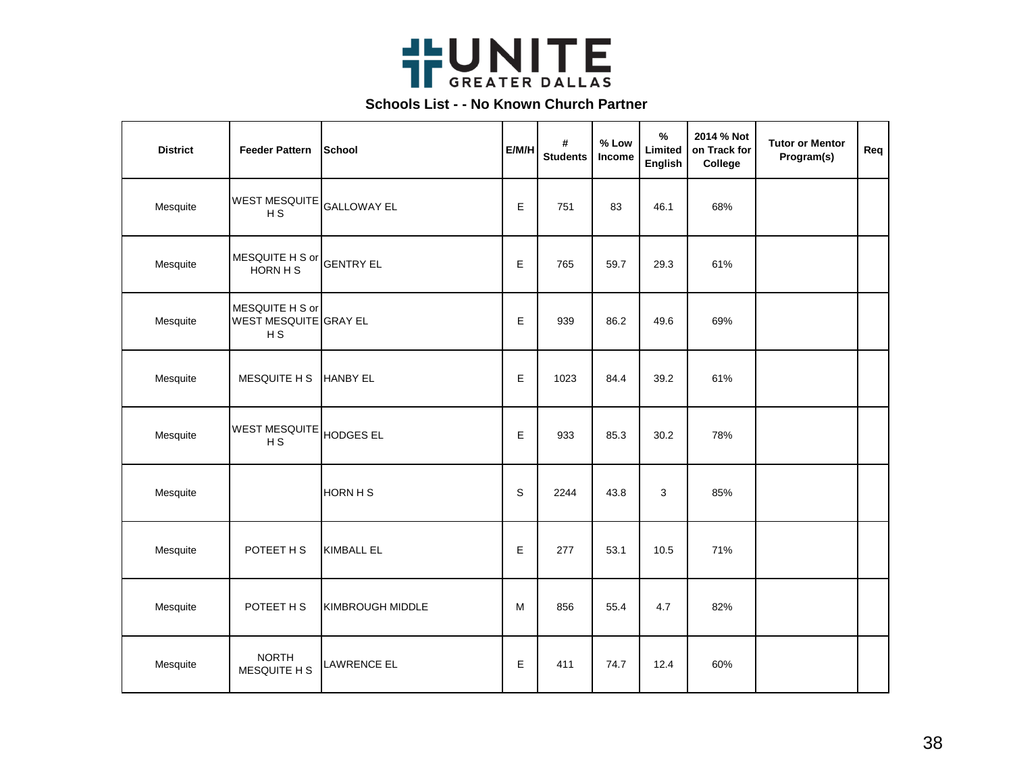

| <b>District</b> | <b>Feeder Pattern</b>                                      | School             | E/M/H | #<br><b>Students</b> | % Low<br>Income | $\frac{9}{6}$<br>Limited<br>English | 2014 % Not<br>on Track for<br>College | <b>Tutor or Mentor</b><br>Program(s) | Req |
|-----------------|------------------------------------------------------------|--------------------|-------|----------------------|-----------------|-------------------------------------|---------------------------------------|--------------------------------------|-----|
| Mesquite        | <b>WEST MESQUITE</b><br>H <sub>S</sub>                     | <b>GALLOWAY EL</b> | E     | 751                  | 83              | 46.1                                | 68%                                   |                                      |     |
| Mesquite        | MESQUITE H S or<br>HORN H S                                | <b>GENTRY EL</b>   | E     | 765                  | 59.7            | 29.3                                | 61%                                   |                                      |     |
| Mesquite        | MESQUITE H S or<br>WEST MESQUITE GRAY EL<br>H <sub>S</sub> |                    | E     | 939                  | 86.2            | 49.6                                | 69%                                   |                                      |     |
| Mesquite        | MESQUITE H S                                               | <b>HANBY EL</b>    | E     | 1023                 | 84.4            | 39.2                                | 61%                                   |                                      |     |
| Mesquite        | <b>WEST MESQUITE</b><br>H S                                | <b>HODGES EL</b>   | Е     | 933                  | 85.3            | 30.2                                | 78%                                   |                                      |     |
| Mesquite        |                                                            | HORN H S           | S     | 2244                 | 43.8            | 3                                   | 85%                                   |                                      |     |
| Mesquite        | POTEET H S                                                 | <b>KIMBALL EL</b>  | E     | 277                  | 53.1            | 10.5                                | 71%                                   |                                      |     |
| Mesquite        | POTEET H S                                                 | KIMBROUGH MIDDLE   | M     | 856                  | 55.4            | 4.7                                 | 82%                                   |                                      |     |
| Mesquite        | <b>NORTH</b><br>MESQUITE H S                               | LAWRENCE EL        | Е     | 411                  | 74.7            | 12.4                                | 60%                                   |                                      |     |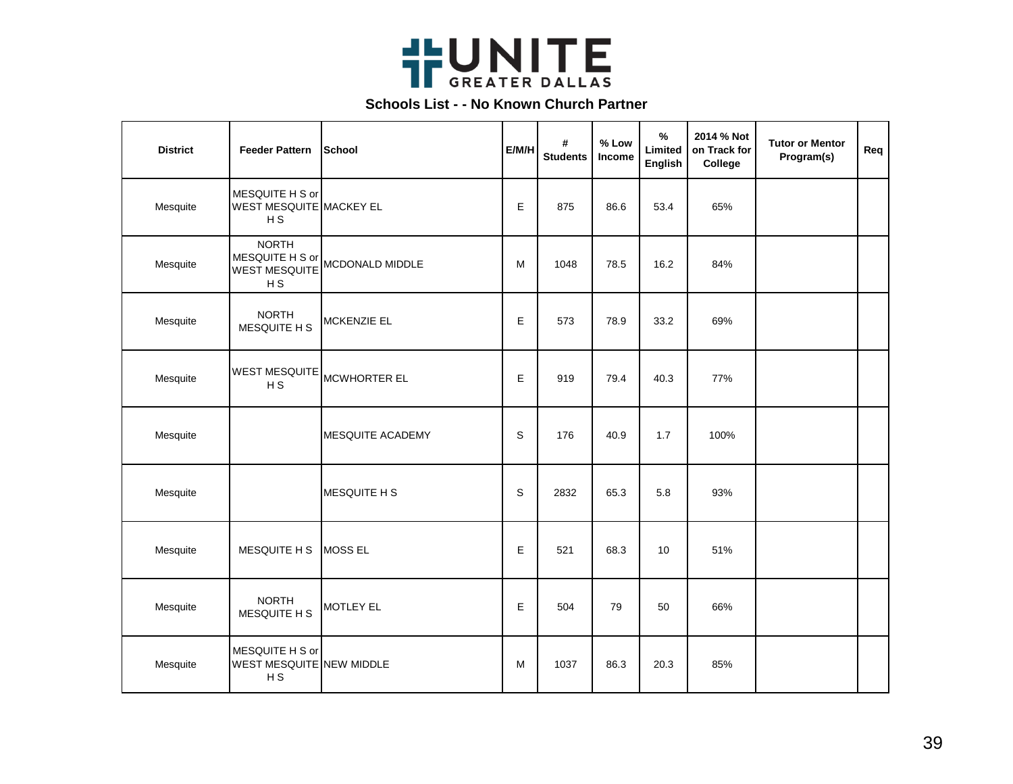

| <b>District</b> | <b>Feeder Pattern</b>                                                     | School              | E/M/H       | #<br><b>Students</b> | % Low<br>Income | %<br>Limited<br><b>English</b> | 2014 % Not<br>on Track for<br>College | <b>Tutor or Mentor</b><br>Program(s) | Req |
|-----------------|---------------------------------------------------------------------------|---------------------|-------------|----------------------|-----------------|--------------------------------|---------------------------------------|--------------------------------------|-----|
| Mesquite        | MESQUITE H S or<br>WEST MESQUITE MACKEY EL<br>H S                         |                     | E           | 875                  | 86.6            | 53.4                           | 65%                                   |                                      |     |
| Mesquite        | <b>NORTH</b><br>MESQUITE H S or<br><b>WEST MESQUITE</b><br>H <sub>S</sub> | MCDONALD MIDDLE     | M           | 1048                 | 78.5            | 16.2                           | 84%                                   |                                      |     |
| Mesquite        | <b>NORTH</b><br>MESQUITE H S                                              | <b>MCKENZIE EL</b>  | Е           | 573                  | 78.9            | 33.2                           | 69%                                   |                                      |     |
| Mesquite        | WEST MESQUITE<br>H S                                                      | MCWHORTER EL        | E           | 919                  | 79.4            | 40.3                           | 77%                                   |                                      |     |
| Mesquite        |                                                                           | MESQUITE ACADEMY    | S           | 176                  | 40.9            | 1.7                            | 100%                                  |                                      |     |
| Mesquite        |                                                                           | <b>MESQUITE H S</b> | $\mathbf S$ | 2832                 | 65.3            | 5.8                            | 93%                                   |                                      |     |
| Mesquite        | MESQUITE H S                                                              | MOSS EL             | E           | 521                  | 68.3            | 10                             | 51%                                   |                                      |     |
| Mesquite        | <b>NORTH</b><br>MESQUITE H S                                              | MOTLEY EL           | E           | 504                  | 79              | 50                             | 66%                                   |                                      |     |
| Mesquite        | MESQUITE H S or<br>WEST MESQUITE NEW MIDDLE<br>H <sub>S</sub>             |                     | M           | 1037                 | 86.3            | 20.3                           | 85%                                   |                                      |     |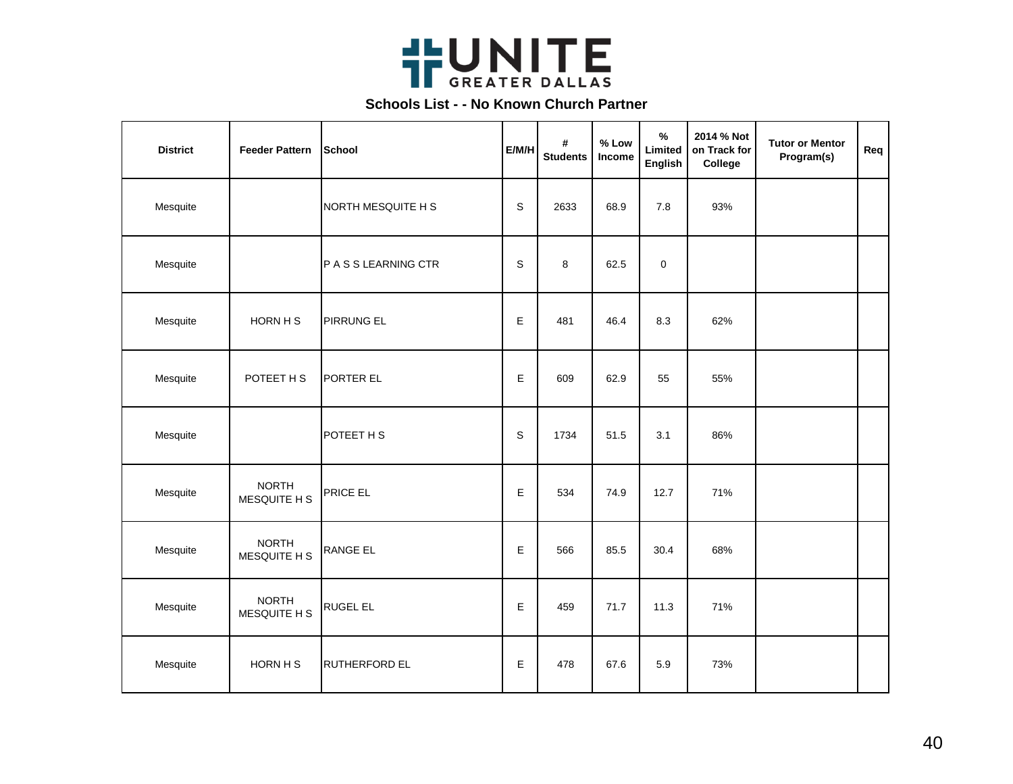

| <b>District</b> | <b>Feeder Pattern</b>        | School               | E/M/H       | #<br><b>Students</b> | % Low<br>Income | $\%$<br>Limited<br><b>English</b> | 2014 % Not<br>on Track for<br>College | <b>Tutor or Mentor</b><br>Program(s) | Req |
|-----------------|------------------------------|----------------------|-------------|----------------------|-----------------|-----------------------------------|---------------------------------------|--------------------------------------|-----|
| Mesquite        |                              | NORTH MESQUITE H S   | $\mathbf S$ | 2633                 | 68.9            | 7.8                               | 93%                                   |                                      |     |
| Mesquite        |                              | P A S S LEARNING CTR | S           | 8                    | 62.5            | $\pmb{0}$                         |                                       |                                      |     |
| Mesquite        | HORN H S                     | <b>PIRRUNG EL</b>    | E           | 481                  | 46.4            | 8.3                               | 62%                                   |                                      |     |
| Mesquite        | POTEET H S                   | PORTER EL            | E           | 609                  | 62.9            | 55                                | 55%                                   |                                      |     |
| Mesquite        |                              | POTEET H S           | $\mathbb S$ | 1734                 | 51.5            | 3.1                               | 86%                                   |                                      |     |
| Mesquite        | <b>NORTH</b><br>MESQUITE H S | PRICE EL             | E           | 534                  | 74.9            | 12.7                              | 71%                                   |                                      |     |
| Mesquite        | <b>NORTH</b><br>MESQUITE H S | RANGE EL             | E           | 566                  | 85.5            | 30.4                              | 68%                                   |                                      |     |
| Mesquite        | <b>NORTH</b><br>MESQUITE H S | <b>RUGEL EL</b>      | E           | 459                  | 71.7            | 11.3                              | 71%                                   |                                      |     |
| Mesquite        | HORN H S                     | <b>RUTHERFORD EL</b> | E           | 478                  | 67.6            | 5.9                               | 73%                                   |                                      |     |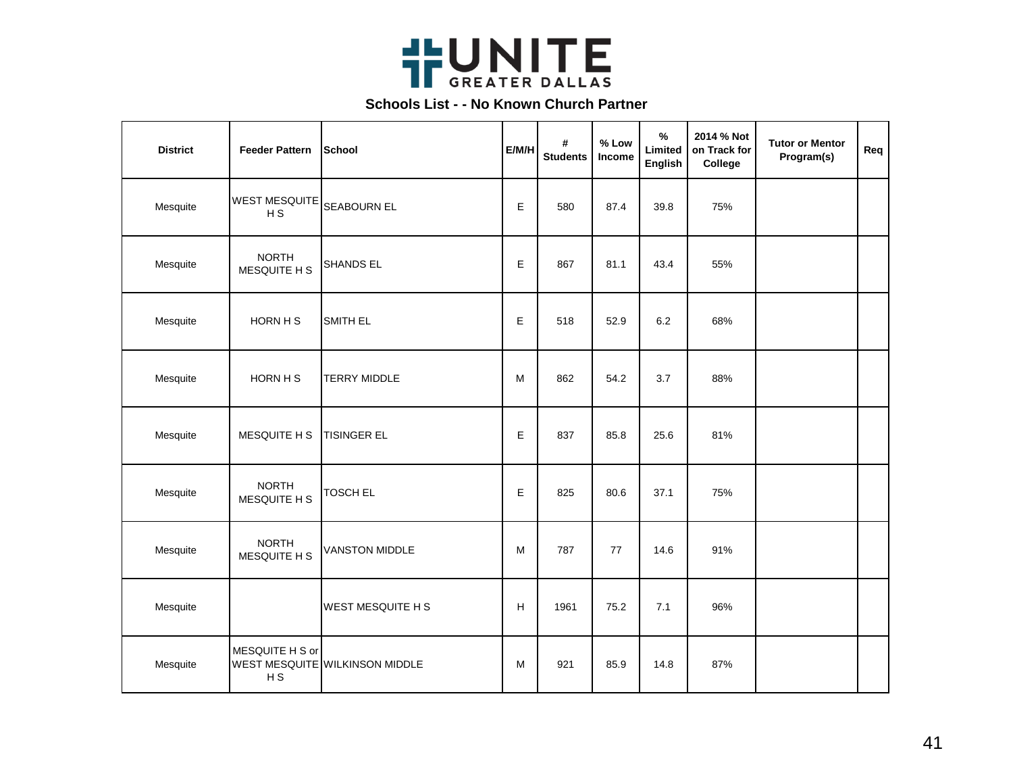

| <b>District</b> | <b>Feeder Pattern</b>                  | School                         | E/M/H | #<br><b>Students</b> | % Low<br>Income | $\%$<br>Limited<br>English | 2014 % Not<br>on Track for<br>College | <b>Tutor or Mentor</b><br>Program(s) | Req |
|-----------------|----------------------------------------|--------------------------------|-------|----------------------|-----------------|----------------------------|---------------------------------------|--------------------------------------|-----|
| Mesquite        | <b>WEST MESQUITE</b><br>H <sub>S</sub> | <b>SEABOURN EL</b>             | E     | 580                  | 87.4            | 39.8                       | 75%                                   |                                      |     |
| Mesquite        | <b>NORTH</b><br>MESQUITE H S           | SHANDS EL                      | Е     | 867                  | 81.1            | 43.4                       | 55%                                   |                                      |     |
| Mesquite        | HORN H S                               | SMITH EL                       | E     | 518                  | 52.9            | 6.2                        | 68%                                   |                                      |     |
| Mesquite        | HORN H S                               | <b>TERRY MIDDLE</b>            | M     | 862                  | 54.2            | 3.7                        | 88%                                   |                                      |     |
| Mesquite        | MESQUITE H S                           | <b>TISINGER EL</b>             | E     | 837                  | 85.8            | 25.6                       | 81%                                   |                                      |     |
| Mesquite        | <b>NORTH</b><br>MESQUITE H S           | <b>TOSCH EL</b>                | E     | 825                  | 80.6            | 37.1                       | 75%                                   |                                      |     |
| Mesquite        | <b>NORTH</b><br>MESQUITE H S           | <b>VANSTON MIDDLE</b>          | M     | 787                  | 77              | 14.6                       | 91%                                   |                                      |     |
| Mesquite        |                                        | WEST MESQUITE H S              | H     | 1961                 | 75.2            | 7.1                        | 96%                                   |                                      |     |
| Mesquite        | MESQUITE H S or<br>H S                 | WEST MESQUITE WILKINSON MIDDLE | M     | 921                  | 85.9            | 14.8                       | 87%                                   |                                      |     |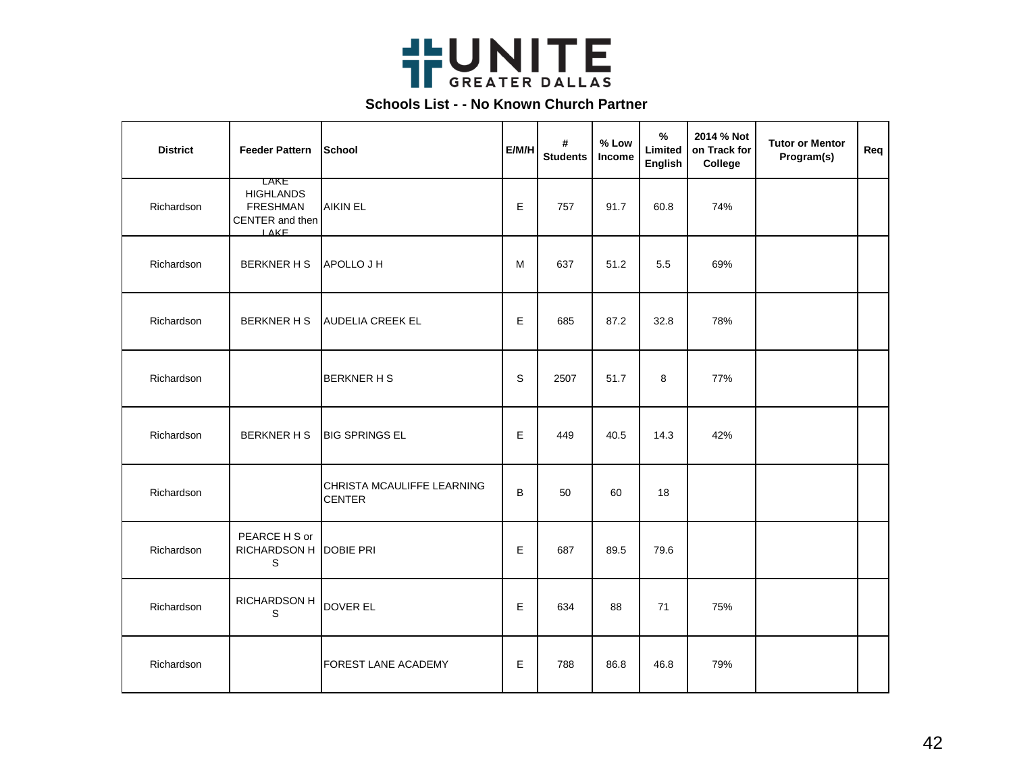

| <b>District</b> | <b>Feeder Pattern</b>                                                         | School                                      | E/M/H | #<br><b>Students</b> | $%$ Low<br>Income | $\%$<br>Limited<br>English | 2014 % Not<br>on Track for<br>College | <b>Tutor or Mentor</b><br>Program(s) | Req |
|-----------------|-------------------------------------------------------------------------------|---------------------------------------------|-------|----------------------|-------------------|----------------------------|---------------------------------------|--------------------------------------|-----|
| Richardson      | LAKE<br><b>HIGHLANDS</b><br><b>FRESHMAN</b><br>CENTER and then<br><b>LAKE</b> | <b>AIKIN EL</b>                             | E     | 757                  | 91.7              | 60.8                       | 74%                                   |                                      |     |
| Richardson      | <b>BERKNER H S</b>                                                            | APOLLO J H                                  | M     | 637                  | 51.2              | 5.5                        | 69%                                   |                                      |     |
| Richardson      | <b>BERKNER H S</b>                                                            | <b>AUDELIA CREEK EL</b>                     | E     | 685                  | 87.2              | 32.8                       | 78%                                   |                                      |     |
| Richardson      |                                                                               | <b>BERKNER H S</b>                          | S     | 2507                 | 51.7              | 8                          | 77%                                   |                                      |     |
| Richardson      | <b>BERKNER H S</b>                                                            | <b>BIG SPRINGS EL</b>                       | E     | 449                  | 40.5              | 14.3                       | 42%                                   |                                      |     |
| Richardson      |                                                                               | CHRISTA MCAULIFFE LEARNING<br><b>CENTER</b> | B     | 50                   | 60                | 18                         |                                       |                                      |     |
| Richardson      | PEARCE H S or<br>RICHARDSON H<br>$\mathbb S$                                  | DOBIE PRI                                   | E     | 687                  | 89.5              | 79.6                       |                                       |                                      |     |
| Richardson      | RICHARDSON H<br>S                                                             | DOVER EL                                    | Е     | 634                  | 88                | 71                         | 75%                                   |                                      |     |
| Richardson      |                                                                               | <b>FOREST LANE ACADEMY</b>                  | E     | 788                  | 86.8              | 46.8                       | 79%                                   |                                      |     |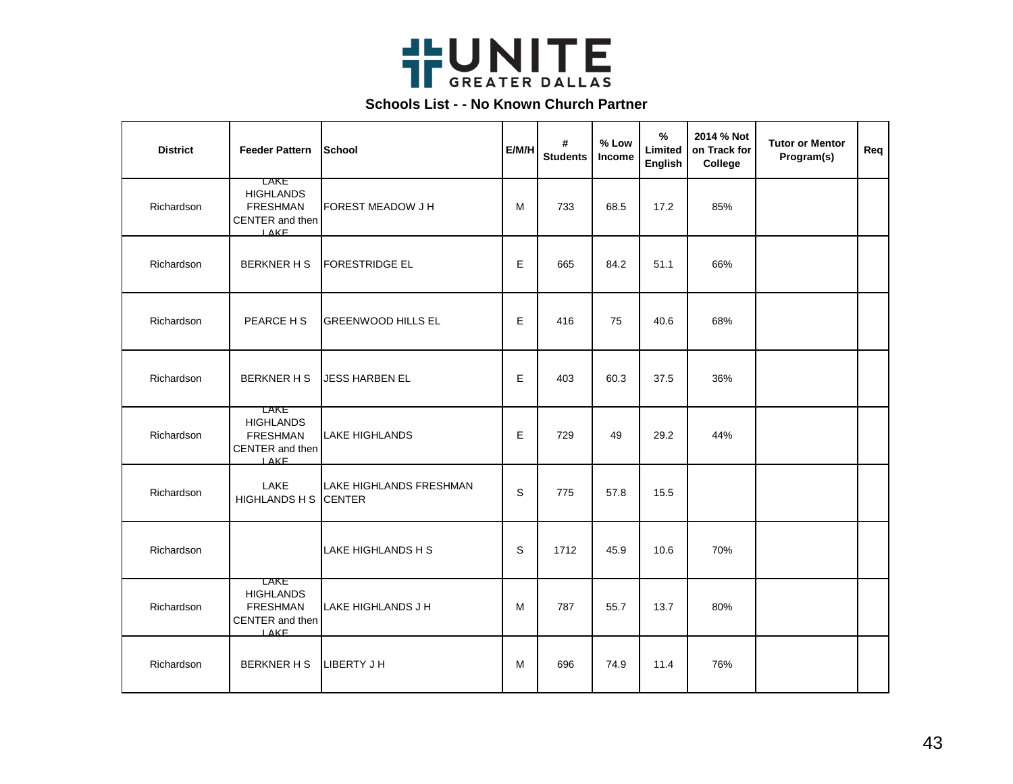

| <b>District</b> | <b>Feeder Pattern</b>                                                                | School                                   | E/M/H | #<br><b>Students</b> | % Low<br>Income | $\frac{9}{6}$<br>Limited<br>English | 2014 % Not<br>on Track for<br>College | <b>Tutor or Mentor</b><br>Program(s) | Req |
|-----------------|--------------------------------------------------------------------------------------|------------------------------------------|-------|----------------------|-----------------|-------------------------------------|---------------------------------------|--------------------------------------|-----|
| Richardson      | LAKE<br><b>HIGHLANDS</b><br><b>FRESHMAN</b><br>CENTER and then<br><b>LAKE</b>        | <b>FOREST MEADOW J H</b>                 | м     | 733                  | 68.5            | 17.2                                | 85%                                   |                                      |     |
| Richardson      | <b>BERKNER H S</b>                                                                   | <b>FORESTRIDGE EL</b>                    | E     | 665                  | 84.2            | 51.1                                | 66%                                   |                                      |     |
| Richardson      | PEARCE H S                                                                           | <b>GREENWOOD HILLS EL</b>                | E     | 416                  | 75              | 40.6                                | 68%                                   |                                      |     |
| Richardson      | <b>BERKNER H S</b>                                                                   | <b>JESS HARBEN EL</b>                    | E     | 403                  | 60.3            | 37.5                                | 36%                                   |                                      |     |
| Richardson      | <b>LAKE</b><br><b>HIGHLANDS</b><br><b>FRESHMAN</b><br>CENTER and then<br><b>LAKE</b> | <b>LAKE HIGHLANDS</b>                    | E     | 729                  | 49              | 29.2                                | 44%                                   |                                      |     |
| Richardson      | LAKE<br>HIGHLANDS H S                                                                | LAKE HIGHLANDS FRESHMAN<br><b>CENTER</b> | S     | 775                  | 57.8            | 15.5                                |                                       |                                      |     |
| Richardson      |                                                                                      | LAKE HIGHLANDS H S                       | S     | 1712                 | 45.9            | 10.6                                | 70%                                   |                                      |     |
| Richardson      | LAKE<br><b>HIGHLANDS</b><br><b>FRESHMAN</b><br>CENTER and then<br>IAKF               | LAKE HIGHLANDS J H                       | м     | 787                  | 55.7            | 13.7                                | 80%                                   |                                      |     |
| Richardson      | <b>BERKNER H S</b>                                                                   | LIBERTY J H                              | м     | 696                  | 74.9            | 11.4                                | 76%                                   |                                      |     |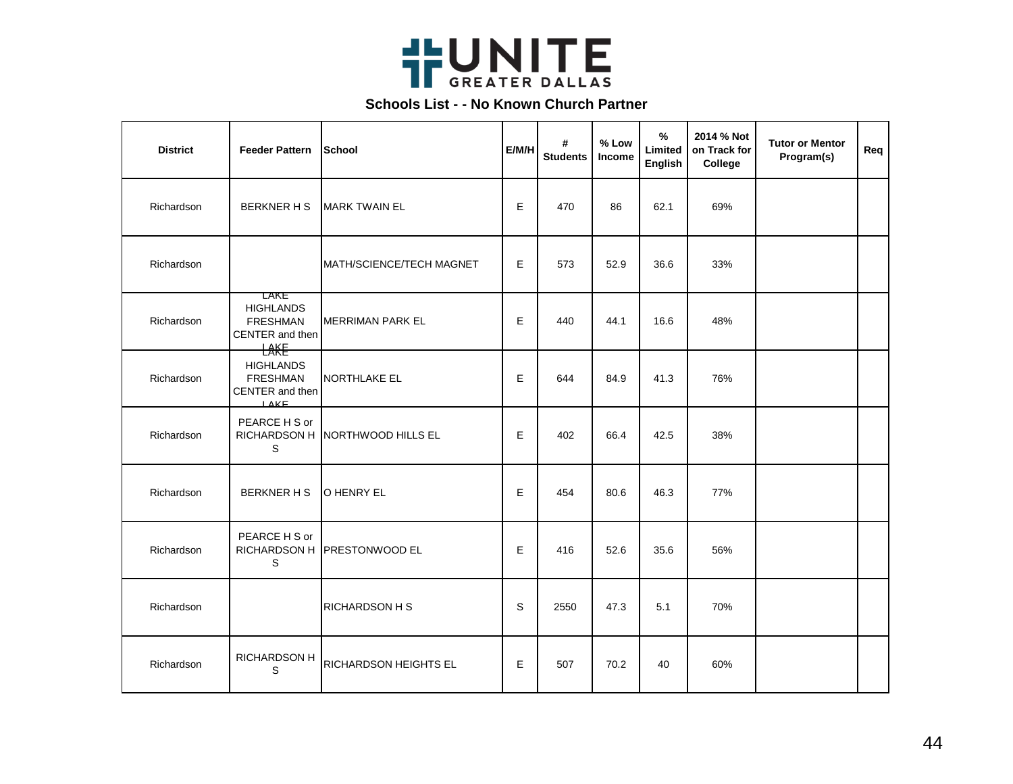

| <b>District</b> | <b>Feeder Pattern</b>                                               | School                          | E/M/H | #<br><b>Students</b> | % Low<br>Income | $\frac{9}{6}$<br>Limited<br>English | 2014 % Not<br>on Track for<br>College | <b>Tutor or Mentor</b><br>Program(s) | Req |
|-----------------|---------------------------------------------------------------------|---------------------------------|-------|----------------------|-----------------|-------------------------------------|---------------------------------------|--------------------------------------|-----|
| Richardson      | <b>BERKNER H S</b>                                                  | <b>IMARK TWAIN EL</b>           | E     | 470                  | 86              | 62.1                                | 69%                                   |                                      |     |
| Richardson      |                                                                     | MATH/SCIENCE/TECH MAGNET        | E     | 573                  | 52.9            | 36.6                                | 33%                                   |                                      |     |
| Richardson      | LAKE<br><b>HIGHLANDS</b><br><b>FRESHMAN</b><br>CENTER and then<br>H | <b>MERRIMAN PARK EL</b>         | E     | 440                  | 44.1            | 16.6                                | 48%                                   |                                      |     |
| Richardson      | <b>HIGHLANDS</b><br><b>FRESHMAN</b><br>CENTER and then<br>LAKF      | NORTHLAKE EL                    | E     | 644                  | 84.9            | 41.3                                | 76%                                   |                                      |     |
| Richardson      | PEARCE H S or<br>S                                                  | RICHARDSON H NORTHWOOD HILLS EL | E     | 402                  | 66.4            | 42.5                                | 38%                                   |                                      |     |
| Richardson      | <b>BERKNER H S</b>                                                  | <b>O HENRY EL</b>               | E     | 454                  | 80.6            | 46.3                                | 77%                                   |                                      |     |
| Richardson      | PEARCE H S or<br>S                                                  | RICHARDSON H PRESTONWOOD EL     | E     | 416                  | 52.6            | 35.6                                | 56%                                   |                                      |     |
| Richardson      |                                                                     | RICHARDSON H S                  | S     | 2550                 | 47.3            | 5.1                                 | 70%                                   |                                      |     |
| Richardson      | RICHARDSON H<br>S                                                   | RICHARDSON HEIGHTS EL           | E     | 507                  | 70.2            | 40                                  | 60%                                   |                                      |     |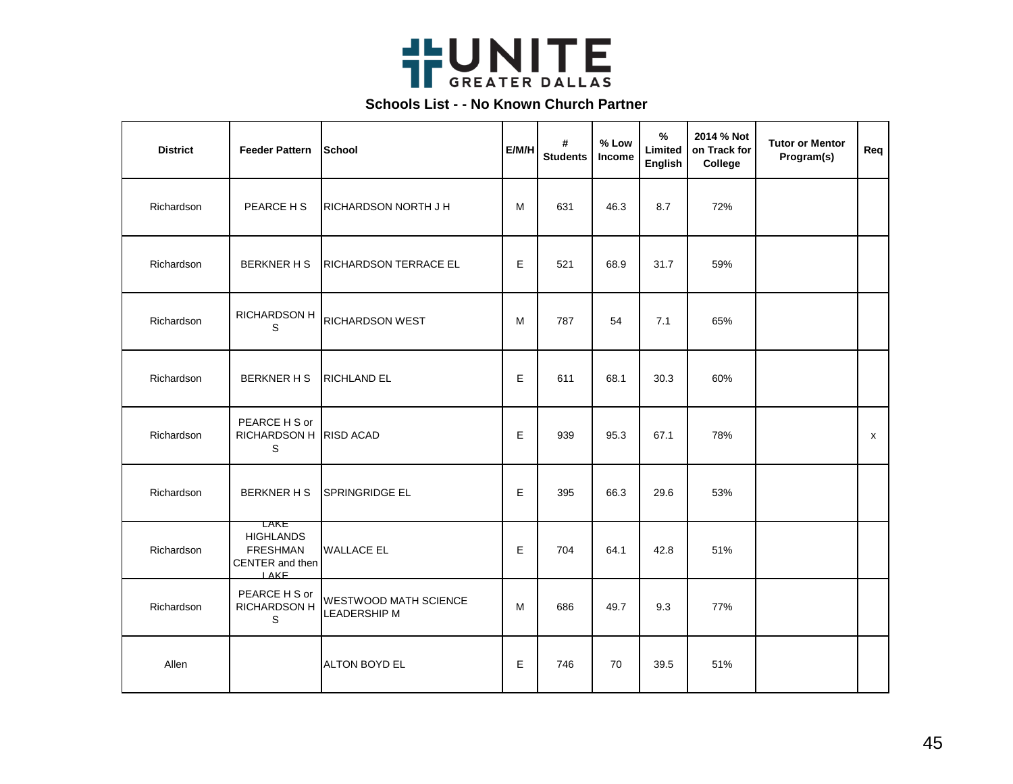

| <b>District</b> | <b>Feeder Pattern</b>                                                         | School                                       | E/M/H | #<br><b>Students</b> | % Low<br>Income | %<br>Limited<br>English | 2014 % Not<br>on Track for<br>College | <b>Tutor or Mentor</b><br>Program(s) | Req |
|-----------------|-------------------------------------------------------------------------------|----------------------------------------------|-------|----------------------|-----------------|-------------------------|---------------------------------------|--------------------------------------|-----|
| Richardson      | PEARCE H S                                                                    | RICHARDSON NORTH J H                         | M     | 631                  | 46.3            | 8.7                     | 72%                                   |                                      |     |
| Richardson      | <b>BERKNER H S</b>                                                            | RICHARDSON TERRACE EL                        | E     | 521                  | 68.9            | 31.7                    | 59%                                   |                                      |     |
| Richardson      | <b>RICHARDSON H</b><br>S                                                      | RICHARDSON WEST                              | м     | 787                  | 54              | 7.1                     | 65%                                   |                                      |     |
| Richardson      | <b>BERKNER H S</b>                                                            | <b>RICHLAND EL</b>                           | E     | 611                  | 68.1            | 30.3                    | 60%                                   |                                      |     |
| Richardson      | PEARCE H S or<br>RICHARDSON H RISD ACAD<br>S                                  |                                              | E     | 939                  | 95.3            | 67.1                    | 78%                                   |                                      | X   |
| Richardson      | <b>BERKNER H S</b>                                                            | <b>SPRINGRIDGE EL</b>                        | E     | 395                  | 66.3            | 29.6                    | 53%                                   |                                      |     |
| Richardson      | LAKE<br><b>HIGHLANDS</b><br><b>FRESHMAN</b><br>CENTER and then<br><b>LAKE</b> | <b>WALLACE EL</b>                            | E     | 704                  | 64.1            | 42.8                    | 51%                                   |                                      |     |
| Richardson      | PEARCE H S or<br>RICHARDSON H<br>S                                            | WESTWOOD MATH SCIENCE<br><b>LEADERSHIP M</b> | M     | 686                  | 49.7            | 9.3                     | 77%                                   |                                      |     |
| Allen           |                                                                               | <b>ALTON BOYD EL</b>                         | E     | 746                  | 70              | 39.5                    | 51%                                   |                                      |     |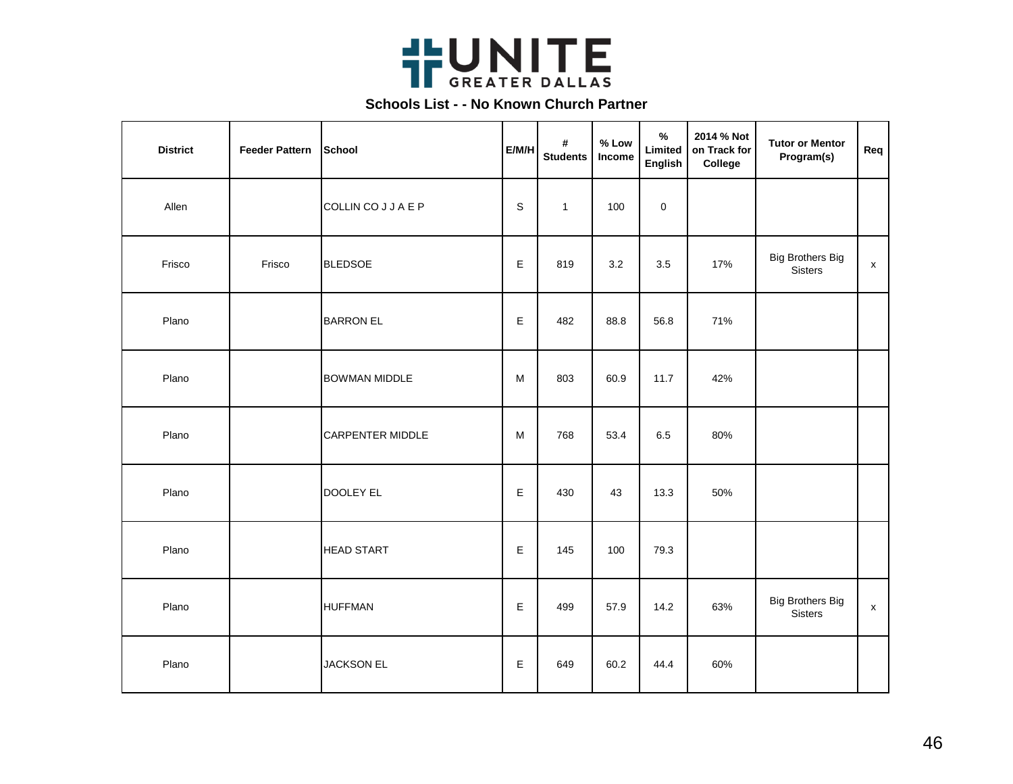

| <b>District</b> | <b>Feeder Pattern</b> | School                  | E/M/H | #<br><b>Students</b> | % Low<br>Income | $\%$<br>Limited<br><b>English</b> | 2014 % Not<br>on Track for<br>College | <b>Tutor or Mentor</b><br>Program(s)      | Req                |
|-----------------|-----------------------|-------------------------|-------|----------------------|-----------------|-----------------------------------|---------------------------------------|-------------------------------------------|--------------------|
| Allen           |                       | COLLIN CO J J A E P     | S     | $\mathbf{1}$         | 100             | $\pmb{0}$                         |                                       |                                           |                    |
| Frisco          | Frisco                | <b>BLEDSOE</b>          | E     | 819                  | 3.2             | 3.5                               | 17%                                   | <b>Big Brothers Big</b><br><b>Sisters</b> | $\pmb{\mathsf{x}}$ |
| Plano           |                       | <b>BARRON EL</b>        | E     | 482                  | 88.8            | 56.8                              | 71%                                   |                                           |                    |
| Plano           |                       | <b>BOWMAN MIDDLE</b>    | M     | 803                  | 60.9            | 11.7                              | 42%                                   |                                           |                    |
| Plano           |                       | <b>CARPENTER MIDDLE</b> | M     | 768                  | 53.4            | 6.5                               | 80%                                   |                                           |                    |
| Plano           |                       | <b>DOOLEY EL</b>        | E     | 430                  | 43              | 13.3                              | 50%                                   |                                           |                    |
| Plano           |                       | <b>HEAD START</b>       | E     | 145                  | 100             | 79.3                              |                                       |                                           |                    |
| Plano           |                       | <b>HUFFMAN</b>          | E     | 499                  | 57.9            | 14.2                              | 63%                                   | <b>Big Brothers Big</b><br><b>Sisters</b> | $\pmb{\mathsf{x}}$ |
| Plano           |                       | <b>JACKSON EL</b>       | E     | 649                  | 60.2            | 44.4                              | 60%                                   |                                           |                    |